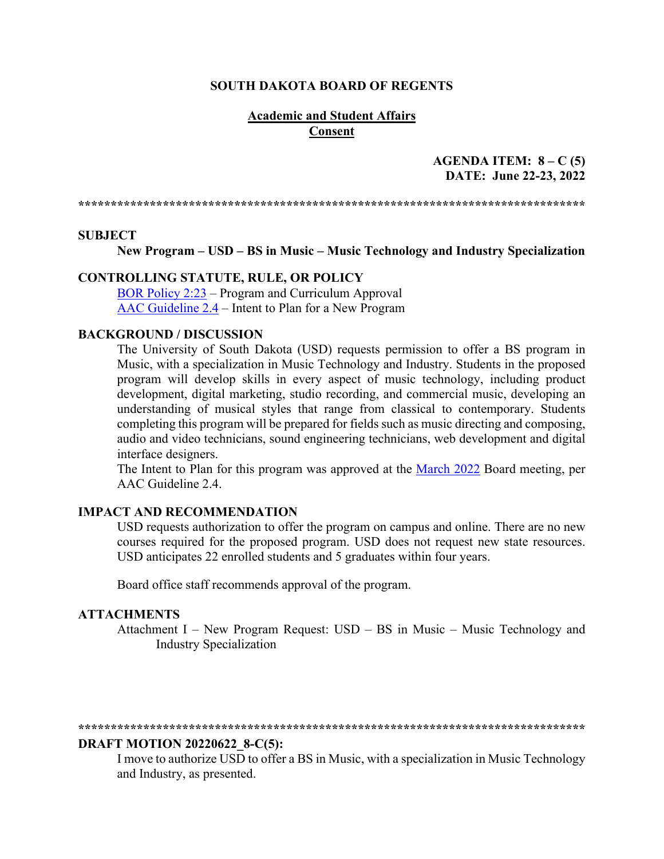#### **SOUTH DAKOTA BOARD OF REGENTS**

### **Academic and Student Affairs Consent**

### **AGENDA ITEM: 8 – C (5) DATE: June 22-23, 2022**

**\*\*\*\*\*\*\*\*\*\*\*\*\*\*\*\*\*\*\*\*\*\*\*\*\*\*\*\*\*\*\*\*\*\*\*\*\*\*\*\*\*\*\*\*\*\*\*\*\*\*\*\*\*\*\*\*\*\*\*\*\*\*\*\*\*\*\*\*\*\*\*\*\*\*\*\*\*\***

#### **SUBJECT**

**New Program – USD – BS in Music – Music Technology and Industry Specialization**

#### **CONTROLLING STATUTE, RULE, OR POLICY**

[BOR Policy 2:23](https://www.sdbor.edu/policy/Documents/2-23.pdf) – Program and Curriculum Approval [AAC Guideline 2.4](https://www.sdbor.edu/administrative-offices/academics/academic-affairs-guidelines/Documents/2_Guidelines/2_4_Guideline.pdf) – Intent to Plan for a New Program

#### **BACKGROUND / DISCUSSION**

The University of South Dakota (USD) requests permission to offer a BS program in Music, with a specialization in Music Technology and Industry. Students in the proposed program will develop skills in every aspect of music technology, including product development, digital marketing, studio recording, and commercial music, developing an understanding of musical styles that range from classical to contemporary. Students completing this program will be prepared for fields such as music directing and composing, audio and video technicians, sound engineering technicians, web development and digital interface designers.

The Intent to Plan for this program was approved at the [March 2022](https://www.sdbor.edu/the-board/agendaitems/2014AgendaItems/2022%20Agenda%20Items/March2022/6_E2_BOR0322.pdf) Board meeting, per AAC Guideline 2.4.

#### **IMPACT AND RECOMMENDATION**

USD requests authorization to offer the program on campus and online. There are no new courses required for the proposed program. USD does not request new state resources. USD anticipates 22 enrolled students and 5 graduates within four years.

Board office staff recommends approval of the program.

#### **ATTACHMENTS**

Attachment I – New Program Request: USD – BS in Music – Music Technology and Industry Specialization

#### **\*\*\*\*\*\*\*\*\*\*\*\*\*\*\*\*\*\*\*\*\*\*\*\*\*\*\*\*\*\*\*\*\*\*\*\*\*\*\*\*\*\*\*\*\*\*\*\*\*\*\*\*\*\*\*\*\*\*\*\*\*\*\*\*\*\*\*\*\*\*\*\*\*\*\*\*\*\***

#### **DRAFT MOTION 20220622\_8-C(5):**

I move to authorize USD to offer a BS in Music, with a specialization in Music Technology and Industry, as presented.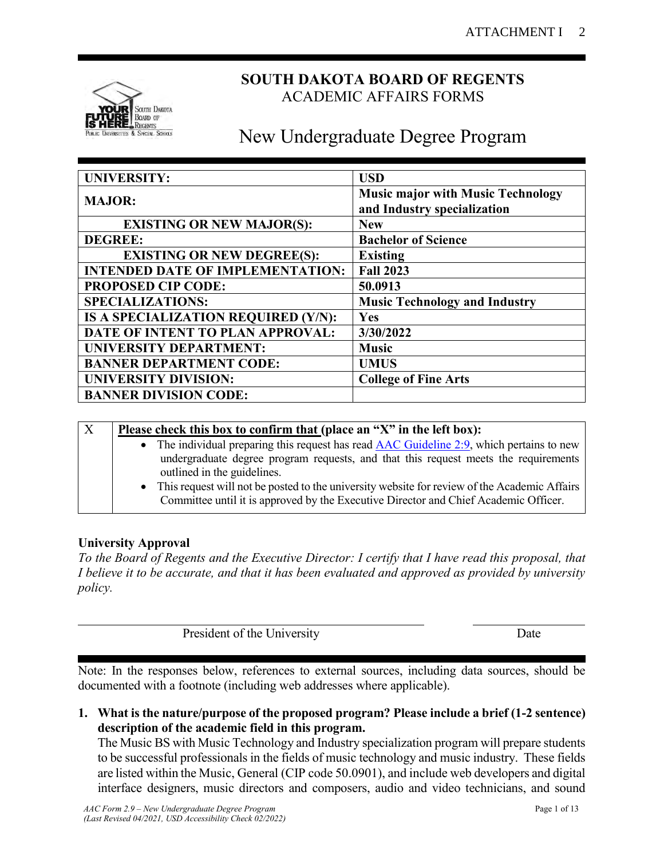

### **SOUTH DAKOTA BOARD OF REGENTS** ACADEMIC AFFAIRS FORMS

# New Undergraduate Degree Program

| <b>UNIVERSITY:</b>                      | <b>USD</b>                               |
|-----------------------------------------|------------------------------------------|
| <b>MAJOR:</b>                           | <b>Music major with Music Technology</b> |
|                                         | and Industry specialization              |
| <b>EXISTING OR NEW MAJOR(S):</b>        | <b>New</b>                               |
| <b>DEGREE:</b>                          | <b>Bachelor of Science</b>               |
| <b>EXISTING OR NEW DEGREE(S):</b>       | <b>Existing</b>                          |
| <b>INTENDED DATE OF IMPLEMENTATION:</b> | <b>Fall 2023</b>                         |
| <b>PROPOSED CIP CODE:</b>               | 50.0913                                  |
| <b>SPECIALIZATIONS:</b>                 | <b>Music Technology and Industry</b>     |
| IS A SPECIALIZATION REQUIRED (Y/N):     | Yes                                      |
| DATE OF INTENT TO PLAN APPROVAL:        | 3/30/2022                                |
| <b>UNIVERSITY DEPARTMENT:</b>           | <b>Music</b>                             |
| <b>BANNER DEPARTMENT CODE:</b>          | <b>UMUS</b>                              |
| <b>UNIVERSITY DIVISION:</b>             | <b>College of Fine Arts</b>              |
| <b>BANNER DIVISION CODE:</b>            |                                          |

| $\overline{X}$ | Please check this box to confirm that (place an "X" in the left box):                                                                                                                  |
|----------------|----------------------------------------------------------------------------------------------------------------------------------------------------------------------------------------|
|                | • The individual preparing this request has read $\triangle AC$ Guideline 2:9, which pertains to new                                                                                   |
|                | undergraduate degree program requests, and that this request meets the requirements<br>outlined in the guidelines.                                                                     |
|                | • This request will not be posted to the university website for review of the Academic Affairs<br>Committee until it is approved by the Executive Director and Chief Academic Officer. |

### **University Approval**

*To the Board of Regents and the Executive Director: I certify that I have read this proposal, that I believe it to be accurate, and that it has been evaluated and approved as provided by university policy.*

President of the University Date

Note: In the responses below, references to external sources, including data sources, should be documented with a footnote (including web addresses where applicable).

**1. What is the nature/purpose of the proposed program? Please include a brief (1-2 sentence) description of the academic field in this program.**

The Music BS with Music Technology and Industry specialization program will prepare students to be successful professionals in the fields of music technology and music industry. These fields are listed within the Music, General (CIP code 50.0901), and include web developers and digital interface designers, music directors and composers, audio and video technicians, and sound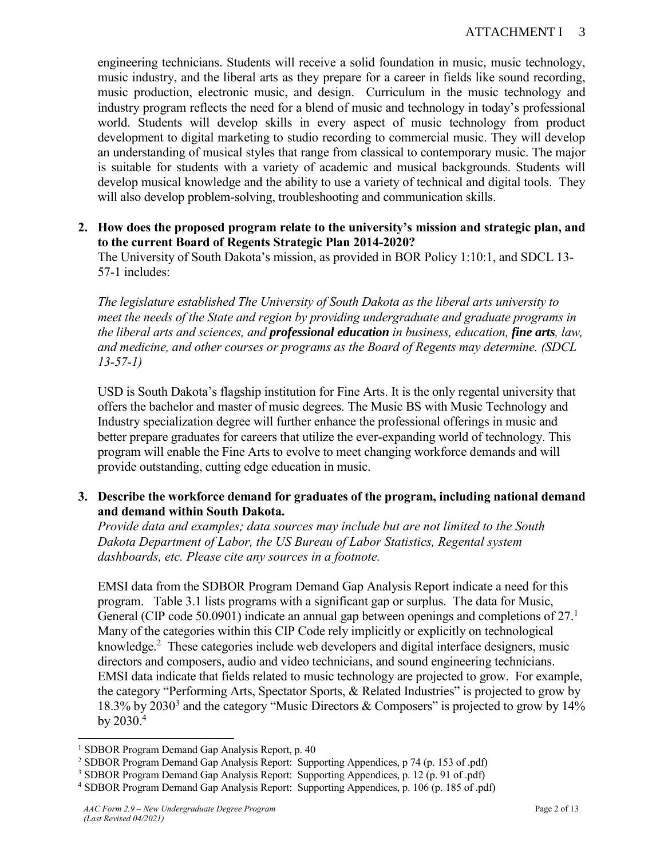engineering technicians. Students will receive a solid foundation in music, music technology, music industry, and the liberal arts as they prepare for a career in fields like sound recording, music production, electronic music, and design. Curriculum in the music technology and industry program reflects the need for a blend of music and technology in today's professional world. Students will develop skills in every aspect of music technology from product development to digital marketing to studio recording to commercial music. They will develop an understanding of musical styles that range from classical to contemporary music. The major is suitable for students with a variety of academic and musical backgrounds. Students will develop musical knowledge and the ability to use a variety of technical and digital tools. They will also develop problem-solving, troubleshooting and communication skills.

### **2. How does the proposed program relate to the university's mission and strategic plan, and to the current Board of Regents Strategic Plan 2014-2020?**

The University of South Dakota's mission, as provided in BOR Policy 1:10:1, and SDCL 13- 57-1 includes:

*The legislature established The University of South Dakota as the liberal arts university to meet the needs of the State and region by providing undergraduate and graduate programs in the liberal arts and sciences, and professional education in business, education, fine arts, law, and medicine, and other courses or programs as the Board of Regents may determine. (SDCL 13-57-1)*

USD is South Dakota's flagship institution for Fine Arts. It is the only regental university that offers the bachelor and master of music degrees. The Music BS with Music Technology and Industry specialization degree will further enhance the professional offerings in music and better prepare graduates for careers that utilize the ever-expanding world of technology. This program will enable the Fine Arts to evolve to meet changing workforce demands and will provide outstanding, cutting edge education in music.

### **3. Describe the workforce demand for graduates of the program, including national demand and demand within South Dakota.**

*Provide data and examples; data sources may include but are not limited to the South Dakota Department of Labor, the US Bureau of Labor Statistics, Regental system dashboards, etc. Please cite any sources in a footnote.*

EMSI data from the SDBOR Program Demand Gap Analysis Report indicate a need for this program. Table 3.1 lists programs with a significant gap or surplus. The data for Music, General (CIP code 50.0901) indicate an annual gap between openings and completions of  $27<sup>1</sup>$ Many of the categories within this CIP Code rely implicitly or explicitly on technological knowledge.<sup>2</sup> These categories include web developers and digital interface designers, music directors and composers, audio and video technicians, and sound engineering technicians. EMSI data indicate that fields related to music technology are projected to grow. For example, the category "Performing Arts, Spectator Sports, & Related Industries" is projected to grow by 18.3% by 2030<sup>3</sup> and the category "Music Directors & Composers" is projected to grow by 14% by  $2030.<sup>4</sup>$ 

 $\overline{a}$ 

<sup>&</sup>lt;sup>1</sup> SDBOR Program Demand Gap Analysis Report, p. 40

<sup>2</sup> SDBOR Program Demand Gap Analysis Report: Supporting Appendices, p 74 (p. 153 of .pdf)

<sup>3</sup> SDBOR Program Demand Gap Analysis Report: Supporting Appendices, p. 12 (p. 91 of .pdf)

<sup>4</sup> SDBOR Program Demand Gap Analysis Report: Supporting Appendices, p. 106 (p. 185 of .pdf)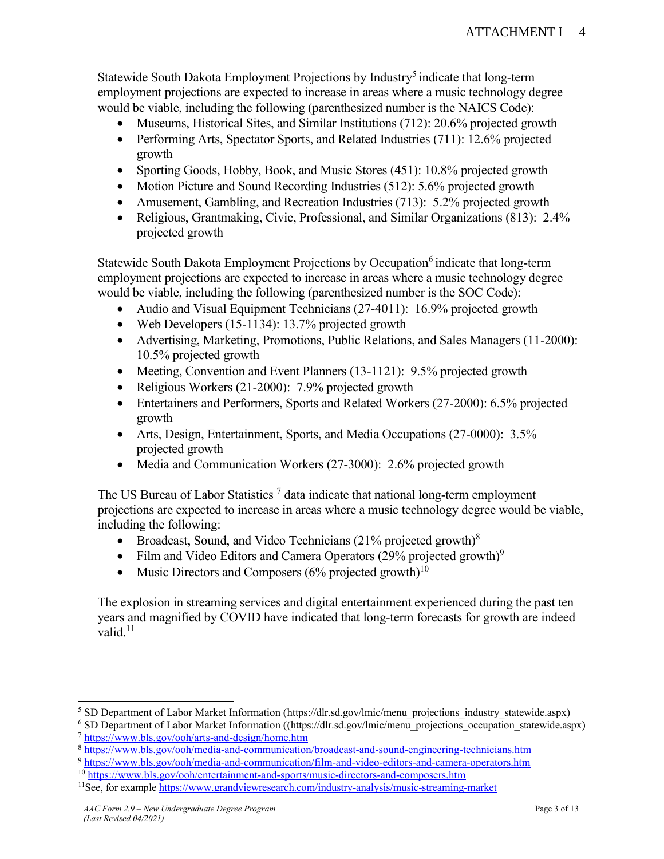Statewide South Dakota Employment Projections by Industry<sup>5</sup> indicate that long-term employment projections are expected to increase in areas where a music technology degree would be viable, including the following (parenthesized number is the NAICS Code):

- Museums, Historical Sites, and Similar Institutions (712): 20.6% projected growth
- Performing Arts, Spectator Sports, and Related Industries (711): 12.6% projected growth
- Sporting Goods, Hobby, Book, and Music Stores (451): 10.8% projected growth
- Motion Picture and Sound Recording Industries (512): 5.6% projected growth
- Amusement, Gambling, and Recreation Industries (713): 5.2% projected growth
- Religious, Grantmaking, Civic, Professional, and Similar Organizations (813): 2.4% projected growth

Statewide South Dakota Employment Projections by Occupation<sup>6</sup> indicate that long-term employment projections are expected to increase in areas where a music technology degree would be viable, including the following (parenthesized number is the SOC Code):

- Audio and Visual Equipment Technicians (27-4011): 16.9% projected growth
- Web Developers (15-1134): 13.7% projected growth
- Advertising, Marketing, Promotions, Public Relations, and Sales Managers (11-2000): 10.5% projected growth
- Meeting, Convention and Event Planners (13-1121): 9.5% projected growth
- Religious Workers (21-2000): 7.9% projected growth
- Entertainers and Performers, Sports and Related Workers (27-2000): 6.5% projected growth
- Arts, Design, Entertainment, Sports, and Media Occupations (27-0000): 3.5% projected growth
- Media and Communication Workers (27-3000): 2.6% projected growth

The US Bureau of Labor Statistics<sup>7</sup> data indicate that national long-term employment projections are expected to increase in areas where a music technology degree would be viable, including the following:

- Broadcast, Sound, and Video Technicians  $(21\%$  projected growth)<sup>8</sup>
- Film and Video Editors and Camera Operators  $(29\%$  projected growth)<sup>9</sup>
- Music Directors and Composers  $(6\%$  projected growth $)^{10}$

The explosion in streaming services and digital entertainment experienced during the past ten years and magnified by COVID have indicated that long-term forecasts for growth are indeed valid. $11$ 

<sup>9</sup> <https://www.bls.gov/ooh/media-and-communication/film-and-video-editors-and-camera-operators.htm>

 $\overline{a}$ 

<sup>&</sup>lt;sup>5</sup> SD Department of Labor Market Information [\(https://dlr.sd.gov/lmic/menu\\_projections\\_industry\\_statewide.aspx\)](https://dlr.sd.gov/lmic/menu_projections_industry_statewide.aspx)

<sup>&</sup>lt;sup>6</sup> SD Department of Labor Market Information ([\(https://dlr.sd.gov/lmic/menu\\_projections\\_occupation\\_statewide.aspx\)](https://dlr.sd.gov/lmic/menu_projections_occupation_statewide.aspx) <sup>7</sup> <https://www.bls.gov/ooh/arts-and-design/home.htm>

<sup>8</sup> <https://www.bls.gov/ooh/media-and-communication/broadcast-and-sound-engineering-technicians.htm>

<sup>&</sup>lt;sup>10</sup> <https://www.bls.gov/ooh/entertainment-and-sports/music-directors-and-composers.htm>

<sup>&</sup>lt;sup>11</sup>See, for example<https://www.grandviewresearch.com/industry-analysis/music-streaming-market>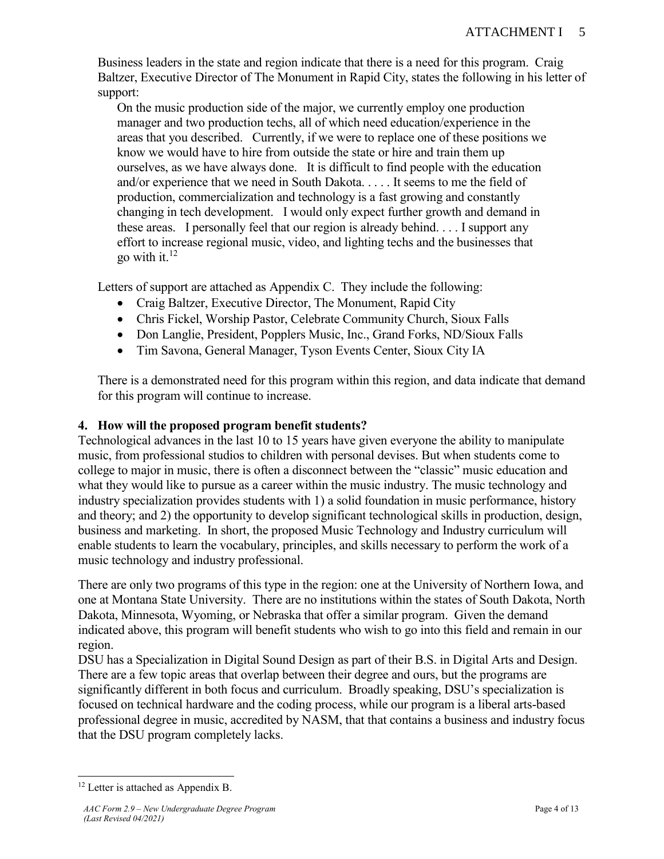Business leaders in the state and region indicate that there is a need for this program. Craig Baltzer, Executive Director of The Monument in Rapid City, states the following in his letter of support:

On the music production side of the major, we currently employ one production manager and two production techs, all of which need education/experience in the areas that you described. Currently, if we were to replace one of these positions we know we would have to hire from outside the state or hire and train them up ourselves, as we have always done. It is difficult to find people with the education and/or experience that we need in South Dakota. . . . . It seems to me the field of production, commercialization and technology is a fast growing and constantly changing in tech development. I would only expect further growth and demand in these areas. I personally feel that our region is already behind. . . . I support any effort to increase regional music, video, and lighting techs and the businesses that go with it. $12$ 

Letters of support are attached as Appendix C. They include the following:

- Craig Baltzer, Executive Director, The Monument, Rapid City
- Chris Fickel, Worship Pastor, Celebrate Community Church, Sioux Falls
- Don Langlie, President, Popplers Music, Inc., Grand Forks, ND/Sioux Falls
- Tim Savona, General Manager, Tyson Events Center, Sioux City IA

There is a demonstrated need for this program within this region, and data indicate that demand for this program will continue to increase.

### **4. How will the proposed program benefit students?**

Technological advances in the last 10 to 15 years have given everyone the ability to manipulate music, from professional studios to children with personal devises. But when students come to college to major in music, there is often a disconnect between the "classic" music education and what they would like to pursue as a career within the music industry. The music technology and industry specialization provides students with 1) a solid foundation in music performance, history and theory; and 2) the opportunity to develop significant technological skills in production, design, business and marketing. In short, the proposed Music Technology and Industry curriculum will enable students to learn the vocabulary, principles, and skills necessary to perform the work of a music technology and industry professional.

There are only two programs of this type in the region: one at the University of Northern Iowa, and one at Montana State University. There are no institutions within the states of South Dakota, North Dakota, Minnesota, Wyoming, or Nebraska that offer a similar program. Given the demand indicated above, this program will benefit students who wish to go into this field and remain in our region.

DSU has a Specialization in Digital Sound Design as part of their B.S. in Digital Arts and Design. There are a few topic areas that overlap between their degree and ours, but the programs are significantly different in both focus and curriculum. Broadly speaking, DSU's specialization is focused on technical hardware and the coding process, while our program is a liberal arts-based professional degree in music, accredited by NASM, that that contains a business and industry focus that the DSU program completely lacks.

 $\overline{a}$  $12$  Letter is attached as Appendix B.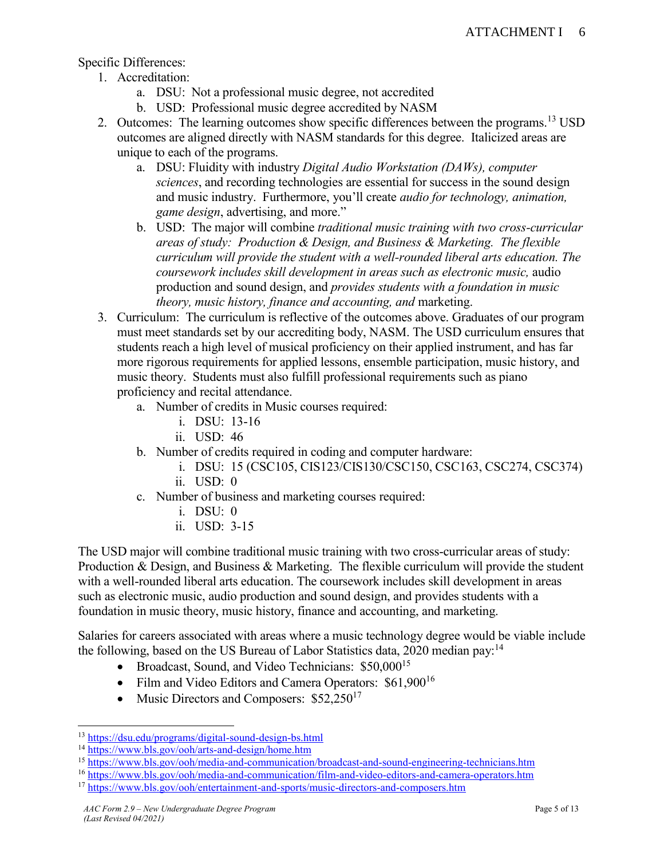Specific Differences:

- 1. Accreditation:
	- a. DSU: Not a professional music degree, not accredited
	- b. USD: Professional music degree accredited by NASM
- 2. Outcomes: The learning outcomes show specific differences between the programs.<sup>13</sup> USD outcomes are aligned directly with NASM standards for this degree. Italicized areas are unique to each of the programs.
	- a. DSU: Fluidity with industry *Digital Audio Workstation (DAWs), computer sciences*, and recording technologies are essential for success in the sound design and music industry. Furthermore, you'll create *audio for technology, animation, game design*, advertising, and more."
	- b. USD: The major will combine *traditional music training with two cross-curricular areas of study: Production & Design, and Business & Marketing. The flexible curriculum will provide the student with a well-rounded liberal arts education. The coursework includes skill development in areas such as electronic music,* audio production and sound design, and *provides students with a foundation in music theory, music history, finance and accounting, and marketing.*
- 3. Curriculum: The curriculum is reflective of the outcomes above. Graduates of our program must meet standards set by our accrediting body, NASM. The USD curriculum ensures that students reach a high level of musical proficiency on their applied instrument, and has far more rigorous requirements for applied lessons, ensemble participation, music history, and music theory. Students must also fulfill professional requirements such as piano proficiency and recital attendance.
	- a. Number of credits in Music courses required:
		- i. DSU: 13-16
		- ii. USD: 46
	- b. Number of credits required in coding and computer hardware:
		- i. DSU: 15 (CSC105, CIS123/CIS130/CSC150, CSC163, CSC274, CSC374)
		- ii. USD: 0
	- c. Number of business and marketing courses required:
		- i. DSU: 0
		- ii. USD: 3-15

The USD major will combine traditional music training with two cross-curricular areas of study: Production & Design, and Business & Marketing. The flexible curriculum will provide the student with a well-rounded liberal arts education. The coursework includes skill development in areas such as electronic music, audio production and sound design, and provides students with a foundation in music theory, music history, finance and accounting, and marketing.

Salaries for careers associated with areas where a music technology degree would be viable include the following, based on the US Bureau of Labor Statistics data, 2020 median pay:<sup>14</sup>

- Broadcast, Sound, and Video Technicians: \$50,000<sup>15</sup>
- Film and Video Editors and Camera Operators: \$61,900<sup>16</sup>
- Music Directors and Composers:  $$52,250^{17}$

 $\overline{a}$ <sup>13</sup> <https://dsu.edu/programs/digital-sound-design-bs.html>

<sup>14</sup> <https://www.bls.gov/ooh/arts-and-design/home.htm>

<sup>&</sup>lt;sup>15</sup> <https://www.bls.gov/ooh/media-and-communication/broadcast-and-sound-engineering-technicians.htm>

<sup>16</sup> <https://www.bls.gov/ooh/media-and-communication/film-and-video-editors-and-camera-operators.htm>

<sup>&</sup>lt;sup>17</sup> <https://www.bls.gov/ooh/entertainment-and-sports/music-directors-and-composers.htm>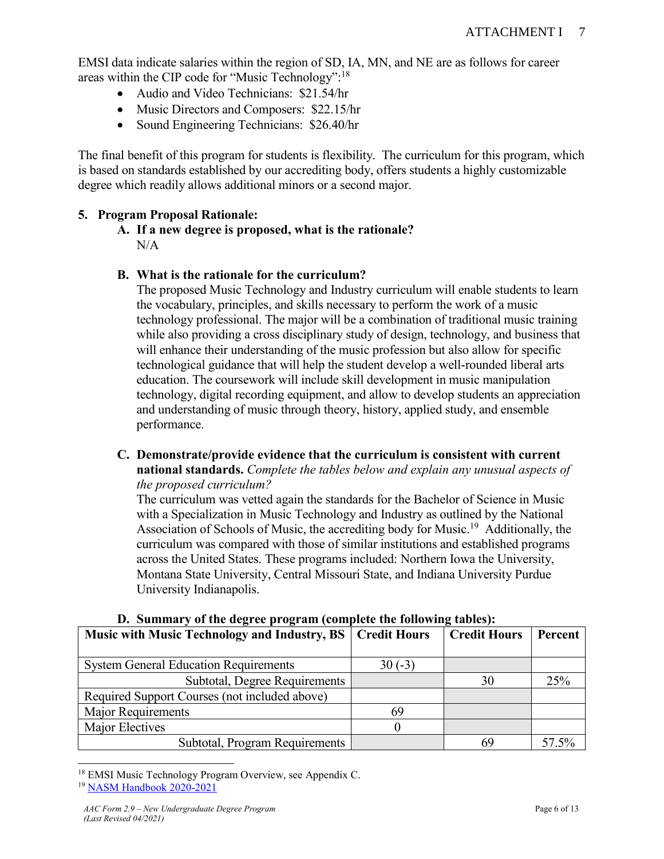EMSI data indicate salaries within the region of SD, IA, MN, and NE are as follows for career areas within the CIP code for "Music Technology":<sup>18</sup>

- Audio and Video Technicians: \$21.54/hr
- Music Directors and Composers: \$22.15/hr
- Sound Engineering Technicians: \$26.40/hr

The final benefit of this program for students is flexibility. The curriculum for this program, which is based on standards established by our accrediting body, offers students a highly customizable degree which readily allows additional minors or a second major.

### **5. Program Proposal Rationale:**

**A. If a new degree is proposed, what is the rationale?**  N/A

### **B. What is the rationale for the curriculum?**

The proposed Music Technology and Industry curriculum will enable students to learn the vocabulary, principles, and skills necessary to perform the work of a music technology professional. The major will be a combination of traditional music training while also providing a cross disciplinary study of design, technology, and business that will enhance their understanding of the music profession but also allow for specific technological guidance that will help the student develop a well-rounded liberal arts education. The coursework will include skill development in music manipulation technology, digital recording equipment, and allow to develop students an appreciation and understanding of music through theory, history, applied study, and ensemble performance.

**C. Demonstrate/provide evidence that the curriculum is consistent with current national standards.** *Complete the tables below and explain any unusual aspects of the proposed curriculum?*

The curriculum was vetted again the standards for the Bachelor of Science in Music with a Specialization in Music Technology and Industry as outlined by the National Association of Schools of Music, the accrediting body for Music.<sup>19</sup> Additionally, the curriculum was compared with those of similar institutions and established programs across the United States. These programs included: Northern Iowa the University, Montana State University, Central Missouri State, and Indiana University Purdue University Indianapolis.

| Music with Music Technology and Industry, BS   Credit Hours |          | <b>Credit Hours</b> | Percent |
|-------------------------------------------------------------|----------|---------------------|---------|
| <b>System General Education Requirements</b>                | $30(-3)$ |                     |         |
| Subtotal, Degree Requirements                               |          | 30                  | 25%     |
| Required Support Courses (not included above)               |          |                     |         |
| Major Requirements                                          | 69       |                     |         |
| Major Electives                                             |          |                     |         |
| Subtotal, Program Requirements                              |          | 69                  | 57.5%   |

### **D. Summary of the degree program (complete the following tables):**

 $\overline{a}$ <sup>18</sup> EMSI Music Technology Program Overview, see Appendix C. <sup>19</sup> [NASM Handbook 2020-2021](https://nasm.arts-accredit.org/wp-content/uploads/sites/2/2021/08/M-2020-21-Handbook-Final-08-10-2021.pdf)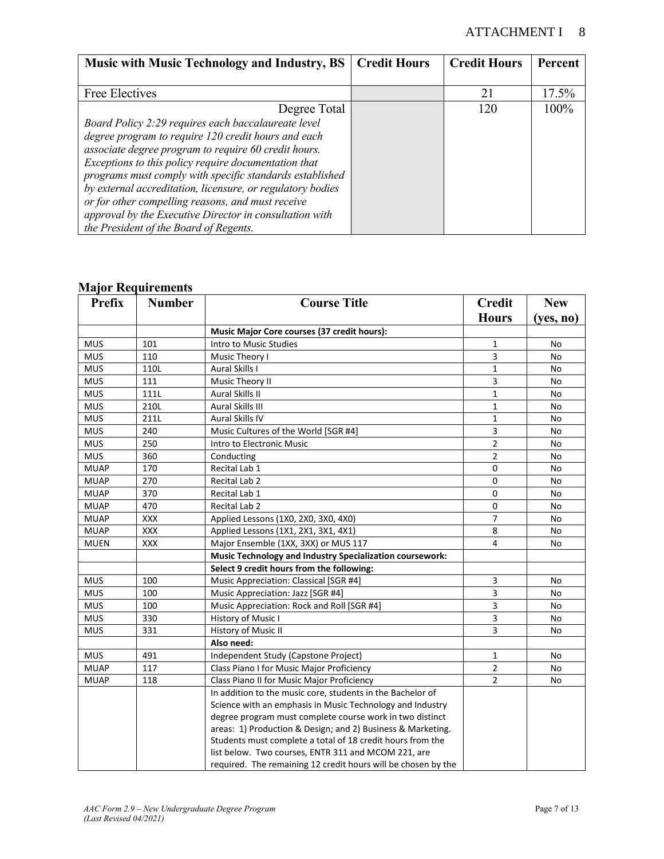### ATTACHMENT I 8

| <b>Music with Music Technology and Industry, BS</b>        | <b>Credit Hours</b> | <b>Credit Hours</b> | Percent |
|------------------------------------------------------------|---------------------|---------------------|---------|
|                                                            |                     |                     |         |
| Free Electives                                             |                     | 21                  | 17.5%   |
| Degree Total                                               |                     | 120                 | 100%    |
| Board Policy 2:29 requires each baccalaureate level        |                     |                     |         |
| degree program to require 120 credit hours and each        |                     |                     |         |
| associate degree program to require 60 credit hours.       |                     |                     |         |
| Exceptions to this policy require documentation that       |                     |                     |         |
| programs must comply with specific standards established   |                     |                     |         |
| by external accreditation, licensure, or regulatory bodies |                     |                     |         |
| or for other compelling reasons, and must receive          |                     |                     |         |
| approval by the Executive Director in consultation with    |                     |                     |         |
| the President of the Board of Regents.                     |                     |                     |         |

#### **Major Requirements**

| <b>Prefix</b> | <b>Number</b> | <b>Course Title</b>                                             | <b>Credit</b>           | <b>New</b> |
|---------------|---------------|-----------------------------------------------------------------|-------------------------|------------|
|               |               |                                                                 | <b>Hours</b>            | (yes, no)  |
|               |               | Music Major Core courses (37 credit hours):                     |                         |            |
| <b>MUS</b>    | 101           | Intro to Music Studies                                          | $\mathbf{1}$            | No         |
| <b>MUS</b>    | 110           | Music Theory I                                                  | 3                       | No         |
| <b>MUS</b>    | 110L          | <b>Aural Skills I</b>                                           | $\mathbf{1}$            | No         |
| <b>MUS</b>    | 111           | Music Theory II                                                 | 3                       | No         |
| <b>MUS</b>    | 111L          | Aural Skills II                                                 | $\mathbf{1}$            | No         |
| <b>MUS</b>    | 210L          | Aural Skills III                                                | $\mathbf{1}$            | No         |
| <b>MUS</b>    | 211L          | <b>Aural Skills IV</b>                                          | $\mathbf{1}$            | No         |
| <b>MUS</b>    | 240           | Music Cultures of the World [SGR #4]                            | 3                       | No         |
| <b>MUS</b>    | 250           | Intro to Electronic Music                                       | $\overline{2}$          | No         |
| <b>MUS</b>    | 360           | Conducting                                                      | $\overline{2}$          | No         |
| <b>MUAP</b>   | 170           | Recital Lab 1                                                   | 0                       | No         |
| <b>MUAP</b>   | 270           | Recital Lab 2                                                   | 0                       | No         |
| <b>MUAP</b>   | 370           | Recital Lab 1                                                   | 0                       | No         |
| <b>MUAP</b>   | 470           | <b>Recital Lab 2</b>                                            | 0                       | No         |
| <b>MUAP</b>   | <b>XXX</b>    | Applied Lessons (1X0, 2X0, 3X0, 4X0)                            | $\overline{7}$          | No         |
| <b>MUAP</b>   | <b>XXX</b>    | Applied Lessons (1X1, 2X1, 3X1, 4X1)                            | 8                       | No         |
| <b>MUEN</b>   | <b>XXX</b>    | Major Ensemble (1XX, 3XX) or MUS 117                            | 4                       | No         |
|               |               | <b>Music Technology and Industry Specialization coursework:</b> |                         |            |
|               |               | Select 9 credit hours from the following:                       |                         |            |
| <b>MUS</b>    | 100           | Music Appreciation: Classical [SGR #4]                          | 3                       | No         |
| <b>MUS</b>    | 100           | Music Appreciation: Jazz [SGR #4]                               | 3                       | No         |
| <b>MUS</b>    | 100           | Music Appreciation: Rock and Roll [SGR #4]                      | $\overline{\mathbf{3}}$ | No         |
| <b>MUS</b>    | 330           | History of Music I                                              | 3                       | No         |
| <b>MUS</b>    | 331           | History of Music II                                             | 3                       | No         |
|               |               | Also need:                                                      |                         |            |
| <b>MUS</b>    | 491           | Independent Study (Capstone Project)                            | $\mathbf{1}$            | No         |
| <b>MUAP</b>   | 117           | Class Piano I for Music Major Proficiency                       | $\overline{2}$          | No         |
| <b>MUAP</b>   | 118           | Class Piano II for Music Major Proficiency                      | $\overline{2}$          | No         |
|               |               | In addition to the music core, students in the Bachelor of      |                         |            |
|               |               | Science with an emphasis in Music Technology and Industry       |                         |            |
|               |               | degree program must complete course work in two distinct        |                         |            |
|               |               | areas: 1) Production & Design; and 2) Business & Marketing.     |                         |            |
|               |               | Students must complete a total of 18 credit hours from the      |                         |            |
|               |               | list below. Two courses, ENTR 311 and MCOM 221, are             |                         |            |
|               |               | required. The remaining 12 credit hours will be chosen by the   |                         |            |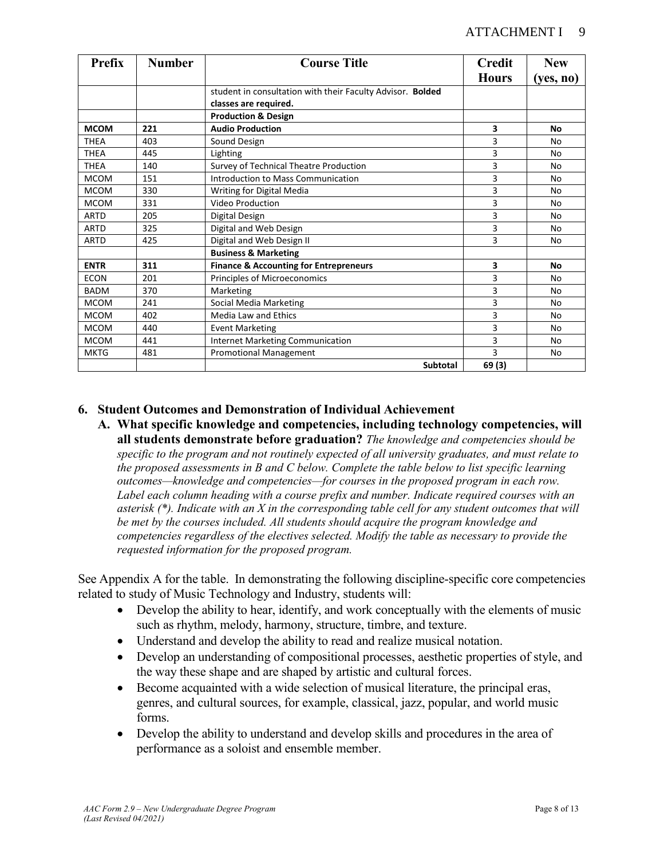| <b>Prefix</b> | <b>Number</b> | <b>Course Title</b>                                        | <b>Credit</b> | <b>New</b> |
|---------------|---------------|------------------------------------------------------------|---------------|------------|
|               |               |                                                            | <b>Hours</b>  | (yes, no)  |
|               |               | student in consultation with their Faculty Advisor. Bolded |               |            |
|               |               | classes are required.                                      |               |            |
|               |               | <b>Production &amp; Design</b>                             |               |            |
| <b>MCOM</b>   | 221           | <b>Audio Production</b>                                    | 3             | No         |
| <b>THEA</b>   | 403           | Sound Design                                               | 3             | No         |
| <b>THEA</b>   | 445           | Lighting                                                   | 3             | No         |
| <b>THEA</b>   | 140           | Survey of Technical Theatre Production                     | 3             | No         |
| <b>MCOM</b>   | 151           | Introduction to Mass Communication                         | 3             | No         |
| <b>MCOM</b>   | 330           | Writing for Digital Media                                  | 3             | No         |
| <b>MCOM</b>   | 331           | Video Production                                           | 3             | No         |
| <b>ARTD</b>   | 205           | Digital Design                                             | 3             | No         |
| <b>ARTD</b>   | 325           | Digital and Web Design                                     | 3             | No         |
| <b>ARTD</b>   | 425           | Digital and Web Design II                                  | 3             | No         |
|               |               | <b>Business &amp; Marketing</b>                            |               |            |
| <b>ENTR</b>   | 311           | <b>Finance &amp; Accounting for Entrepreneurs</b>          | 3             | No         |
| <b>ECON</b>   | 201           | Principles of Microeconomics                               | 3             | No         |
| <b>BADM</b>   | 370           | Marketing                                                  | 3             | No         |
| <b>MCOM</b>   | 241           | Social Media Marketing                                     | 3             | No         |
| <b>MCOM</b>   | 402           | <b>Media Law and Ethics</b>                                | 3             | No         |
| <b>MCOM</b>   | 440           | <b>Event Marketing</b>                                     | 3             | No         |
| <b>MCOM</b>   | 441           | Internet Marketing Communication                           | 3             | No         |
| <b>MKTG</b>   | 481           | <b>Promotional Management</b>                              | 3             | No         |
|               |               | <b>Subtotal</b>                                            | 69 (3)        |            |

### **6. Student Outcomes and Demonstration of Individual Achievement**

**A. What specific knowledge and competencies, including technology competencies, will all students demonstrate before graduation?** *The knowledge and competencies should be specific to the program and not routinely expected of all university graduates, and must relate to the proposed assessments in B and C below. Complete the table below to list specific learning outcomes—knowledge and competencies—for courses in the proposed program in each row. Label each column heading with a course prefix and number. Indicate required courses with an asterisk (\*). Indicate with an X in the corresponding table cell for any student outcomes that will be met by the courses included. All students should acquire the program knowledge and competencies regardless of the electives selected. Modify the table as necessary to provide the requested information for the proposed program.*

See Appendix A for the table. In demonstrating the following discipline-specific core competencies related to study of Music Technology and Industry, students will:

- Develop the ability to hear, identify, and work conceptually with the elements of music such as rhythm, melody, harmony, structure, timbre, and texture.
- Understand and develop the ability to read and realize musical notation.
- Develop an understanding of compositional processes, aesthetic properties of style, and the way these shape and are shaped by artistic and cultural forces.
- Become acquainted with a wide selection of musical literature, the principal eras, genres, and cultural sources, for example, classical, jazz, popular, and world music forms.
- Develop the ability to understand and develop skills and procedures in the area of performance as a soloist and ensemble member.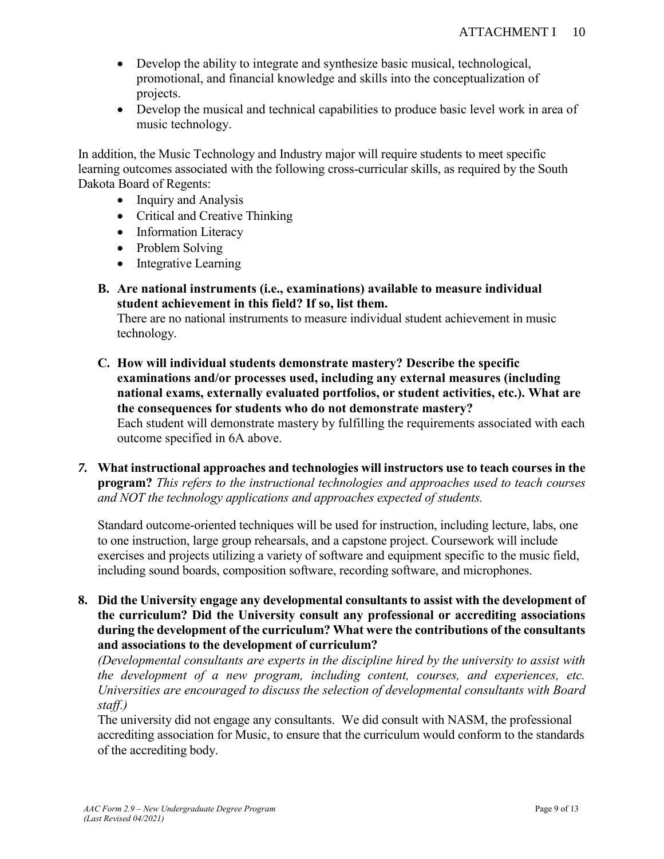- Develop the ability to integrate and synthesize basic musical, technological, promotional, and financial knowledge and skills into the conceptualization of projects.
- Develop the musical and technical capabilities to produce basic level work in area of music technology.

In addition, the Music Technology and Industry major will require students to meet specific learning outcomes associated with the following cross-curricular skills, as required by the South Dakota Board of Regents:

- Inquiry and Analysis
- Critical and Creative Thinking
- Information Literacy
- Problem Solving
- Integrative Learning
- **B. Are national instruments (i.e., examinations) available to measure individual student achievement in this field? If so, list them.**

There are no national instruments to measure individual student achievement in music technology.

- **C. How will individual students demonstrate mastery? Describe the specific examinations and/or processes used, including any external measures (including national exams, externally evaluated portfolios, or student activities, etc.). What are the consequences for students who do not demonstrate mastery?** Each student will demonstrate mastery by fulfilling the requirements associated with each outcome specified in 6A above.
- *7.* **What instructional approaches and technologies will instructors use to teach courses in the program?** *This refers to the instructional technologies and approaches used to teach courses and NOT the technology applications and approaches expected of students.*

Standard outcome-oriented techniques will be used for instruction, including lecture, labs, one to one instruction, large group rehearsals, and a capstone project. Coursework will include exercises and projects utilizing a variety of software and equipment specific to the music field, including sound boards, composition software, recording software, and microphones.

**8. Did the University engage any developmental consultants to assist with the development of the curriculum? Did the University consult any professional or accrediting associations during the development of the curriculum? What were the contributions of the consultants and associations to the development of curriculum?**

*(Developmental consultants are experts in the discipline hired by the university to assist with the development of a new program, including content, courses, and experiences, etc. Universities are encouraged to discuss the selection of developmental consultants with Board staff.)*

The university did not engage any consultants. We did consult with NASM, the professional accrediting association for Music, to ensure that the curriculum would conform to the standards of the accrediting body.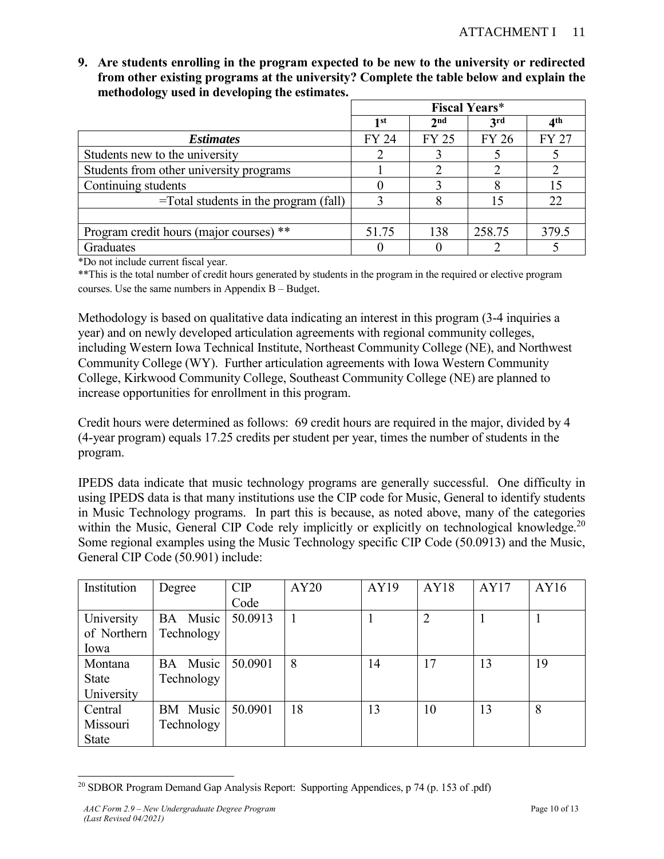**9. Are students enrolling in the program expected to be new to the university or redirected from other existing programs at the university? Complete the table below and explain the methodology used in developing the estimates.** 

|                                          | <b>Fiscal Years*</b> |                 |              |                 |
|------------------------------------------|----------------------|-----------------|--------------|-----------------|
|                                          | 1st                  | 2 <sub>nd</sub> | 3rd          | 4 <sup>th</sup> |
| <i><b>Estimates</b></i>                  | <b>FY 24</b>         | <b>FY 25</b>    | <b>FY 26</b> | <b>FY 27</b>    |
| Students new to the university           |                      |                 |              |                 |
| Students from other university programs  |                      |                 |              |                 |
| Continuing students                      |                      |                 |              | 15              |
| $=$ Total students in the program (fall) | 3                    |                 |              | 22              |
|                                          |                      |                 |              |                 |
| Program credit hours (major courses) **  | 51.75                | 138             | 258.75       | 379.5           |
| Graduates                                |                      |                 |              |                 |

\*Do not include current fiscal year.

\*\*This is the total number of credit hours generated by students in the program in the required or elective program courses. Use the same numbers in Appendix B – Budget.

Methodology is based on qualitative data indicating an interest in this program (3-4 inquiries a year) and on newly developed articulation agreements with regional community colleges, including Western Iowa Technical Institute, Northeast Community College (NE), and Northwest Community College (WY). Further articulation agreements with Iowa Western Community College, Kirkwood Community College, Southeast Community College (NE) are planned to increase opportunities for enrollment in this program.

Credit hours were determined as follows: 69 credit hours are required in the major, divided by 4 (4-year program) equals 17.25 credits per student per year, times the number of students in the program.

IPEDS data indicate that music technology programs are generally successful. One difficulty in using IPEDS data is that many institutions use the CIP code for Music, General to identify students in Music Technology programs. In part this is because, as noted above, many of the categories within the Music, General CIP Code rely implicitly or explicitly on technological knowledge.<sup>20</sup> Some regional examples using the Music Technology specific CIP Code (50.0913) and the Music, General CIP Code (50.901) include:

| Institution  | Degree     | CIP     | AY20 | AY19 | AY18 | AY17 | AY16 |
|--------------|------------|---------|------|------|------|------|------|
|              |            | Code    |      |      |      |      |      |
| University   | BA Music   | 50.0913 |      |      | 2    |      |      |
| of Northern  | Technology |         |      |      |      |      |      |
| Iowa         |            |         |      |      |      |      |      |
| Montana      | BA Music   | 50.0901 | 8    | 14   | 17   | 13   | 19   |
| <b>State</b> | Technology |         |      |      |      |      |      |
| University   |            |         |      |      |      |      |      |
| Central      | BM Music   | 50.0901 | 18   | 13   | 10   | 13   | 8    |
| Missouri     | Technology |         |      |      |      |      |      |
| <b>State</b> |            |         |      |      |      |      |      |

 $\overline{a}$ <sup>20</sup> SDBOR Program Demand Gap Analysis Report: Supporting Appendices, p 74 (p. 153 of .pdf)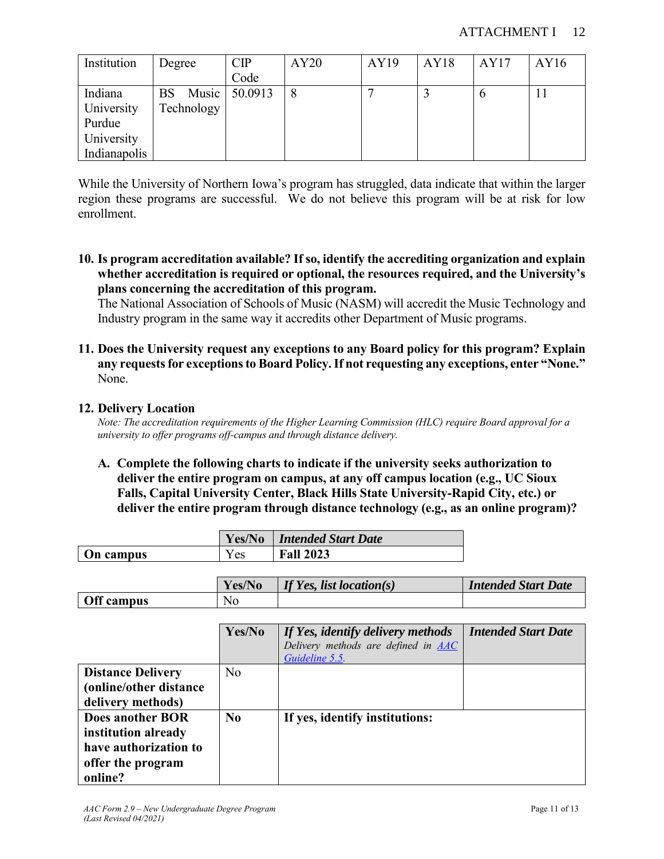### ATTACHMENT I 12

| Institution  | Degree             | CIP     | AY20 | AY19 | AY18 | AY17 | AY16 |
|--------------|--------------------|---------|------|------|------|------|------|
|              |                    | Code    |      |      |      |      |      |
| Indiana      | Music<br><b>BS</b> | 50.0913 | 8    |      |      | O    | 11   |
| University   | Technology         |         |      |      |      |      |      |
| Purdue       |                    |         |      |      |      |      |      |
| University   |                    |         |      |      |      |      |      |
| Indianapolis |                    |         |      |      |      |      |      |

While the University of Northern Iowa's program has struggled, data indicate that within the larger region these programs are successful. We do not believe this program will be at risk for low enrollment.

**10. Is program accreditation available? If so, identify the accrediting organization and explain whether accreditation is required or optional, the resources required, and the University's plans concerning the accreditation of this program.**

The National Association of Schools of Music (NASM) will accredit the Music Technology and Industry program in the same way it accredits other Department of Music programs.

**11. Does the University request any exceptions to any Board policy for this program? Explain any requests for exceptions to Board Policy. If not requesting any exceptions, enter "None."** None.

### **12. Delivery Location**

*Note: The accreditation requirements of the Higher Learning Commission (HLC) require Board approval for a university to offer programs off-campus and through distance delivery.* 

**A. Complete the following charts to indicate if the university seeks authorization to deliver the entire program on campus, at any off campus location (e.g., UC Sioux Falls, Capital University Center, Black Hills State University-Rapid City, etc.) or deliver the entire program through distance technology (e.g., as an online program)?**

|           | Yes/No | <b>Intended Start Date</b> |
|-----------|--------|----------------------------|
| On campus | r es   | <b>Fall 2023</b>           |

|                   | Yes/No | If Yes, list location(s) | <b>Intended Start Date</b> |
|-------------------|--------|--------------------------|----------------------------|
| <b>Off campus</b> | No     |                          |                            |

|                                                                                                         | Yes/No         | If Yes, identify delivery methods<br>Delivery methods are defined in AAC<br>Guideline 5.5 | <b>Intended Start Date</b> |
|---------------------------------------------------------------------------------------------------------|----------------|-------------------------------------------------------------------------------------------|----------------------------|
| <b>Distance Delivery</b><br>(online/other distance)<br>delivery methods)                                | N <sub>o</sub> |                                                                                           |                            |
| <b>Does another BOR</b><br>institution already<br>have authorization to<br>offer the program<br>online? | $\bf No$       | If yes, identify institutions:                                                            |                            |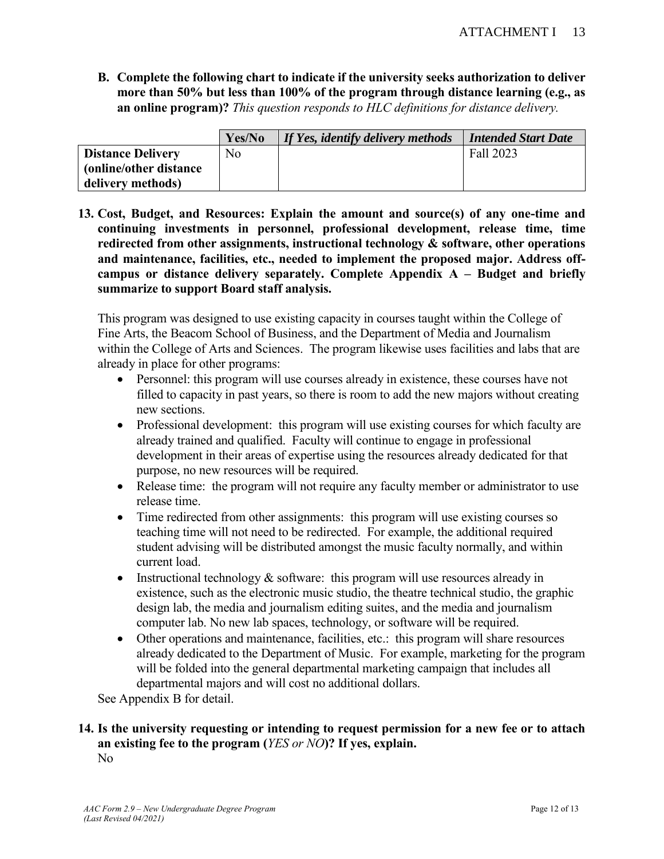**B. Complete the following chart to indicate if the university seeks authorization to deliver more than 50% but less than 100% of the program through distance learning (e.g., as an online program)?** *This question responds to HLC definitions for distance delivery.*

|                          | Yes/No | If Yes, identify delivery methods | <b>Intended Start Date</b> |
|--------------------------|--------|-----------------------------------|----------------------------|
| <b>Distance Delivery</b> | No     |                                   | Fall 2023                  |
| (online/other distance)  |        |                                   |                            |
| delivery methods)        |        |                                   |                            |

**13. Cost, Budget, and Resources: Explain the amount and source(s) of any one-time and continuing investments in personnel, professional development, release time, time redirected from other assignments, instructional technology & software, other operations and maintenance, facilities, etc., needed to implement the proposed major. Address offcampus or distance delivery separately. Complete Appendix A – Budget and briefly summarize to support Board staff analysis.** 

This program was designed to use existing capacity in courses taught within the College of Fine Arts, the Beacom School of Business, and the Department of Media and Journalism within the College of Arts and Sciences. The program likewise uses facilities and labs that are already in place for other programs:

- Personnel: this program will use courses already in existence, these courses have not filled to capacity in past years, so there is room to add the new majors without creating new sections.
- Professional development: this program will use existing courses for which faculty are already trained and qualified. Faculty will continue to engage in professional development in their areas of expertise using the resources already dedicated for that purpose, no new resources will be required.
- Release time: the program will not require any faculty member or administrator to use release time.
- Time redirected from other assignments: this program will use existing courses so teaching time will not need to be redirected. For example, the additional required student advising will be distributed amongst the music faculty normally, and within current load.
- Instructional technology  $&$  software: this program will use resources already in existence, such as the electronic music studio, the theatre technical studio, the graphic design lab, the media and journalism editing suites, and the media and journalism computer lab. No new lab spaces, technology, or software will be required.
- Other operations and maintenance, facilities, etc.: this program will share resources already dedicated to the Department of Music. For example, marketing for the program will be folded into the general departmental marketing campaign that includes all departmental majors and will cost no additional dollars.

See Appendix B for detail.

### **14. Is the university requesting or intending to request permission for a new fee or to attach an existing fee to the program (***YES or NO***)? If yes, explain.** No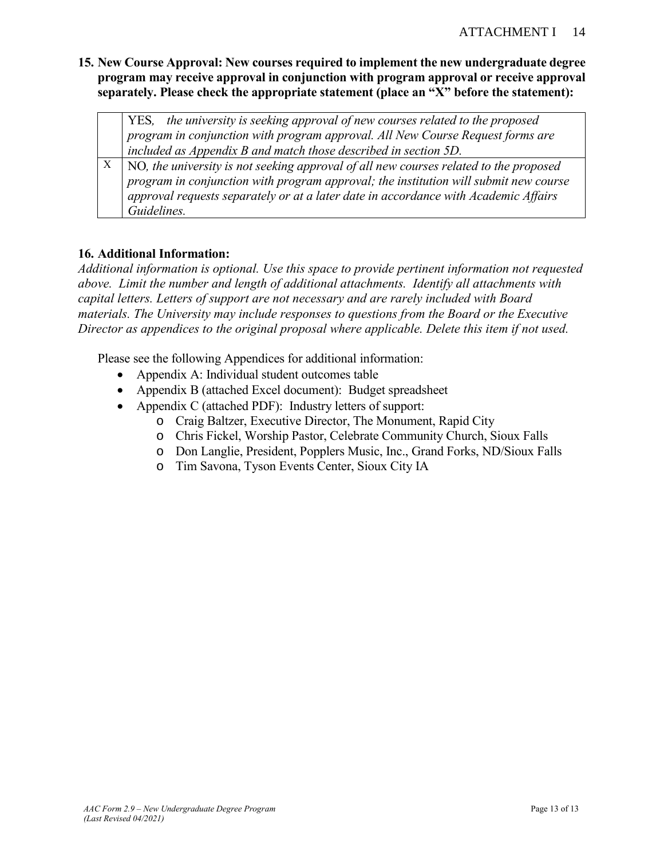**15. New Course Approval: New courses required to implement the new undergraduate degree program may receive approval in conjunction with program approval or receive approval separately. Please check the appropriate statement (place an "X" before the statement):**

| YES, the university is seeking approval of new courses related to the proposed        |
|---------------------------------------------------------------------------------------|
| $\mid$ program in conjunction with program approval. All New Course Request forms are |
| $\vert$ included as Appendix B and match those described in section 5D.               |

 $X \mid NO$ , the university is not seeking approval of all new courses related to the proposed *program in conjunction with program approval; the institution will submit new course approval requests separately or at a later date in accordance with Academic Affairs Guidelines.*

### **16. Additional Information:**

*Additional information is optional. Use this space to provide pertinent information not requested above. Limit the number and length of additional attachments. Identify all attachments with capital letters. Letters of support are not necessary and are rarely included with Board materials. The University may include responses to questions from the Board or the Executive Director as appendices to the original proposal where applicable. Delete this item if not used.*

Please see the following Appendices for additional information:

- Appendix A: Individual student outcomes table
- Appendix B (attached Excel document): Budget spreadsheet
- Appendix C (attached PDF): Industry letters of support:
	- o Craig Baltzer, Executive Director, The Monument, Rapid City
	- o Chris Fickel, Worship Pastor, Celebrate Community Church, Sioux Falls
	- o Don Langlie, President, Popplers Music, Inc., Grand Forks, ND/Sioux Falls
	- o Tim Savona, Tyson Events Center, Sioux City IA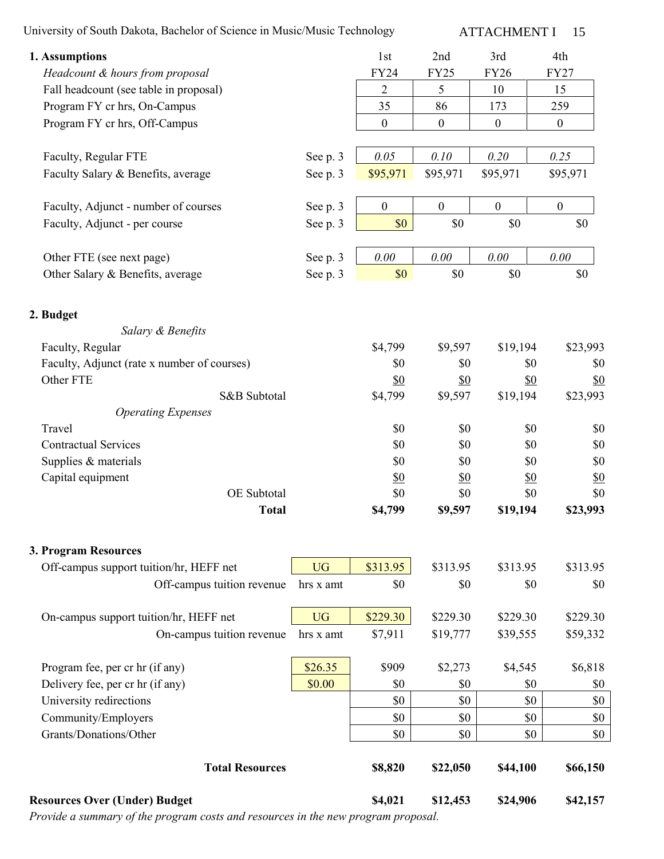University of South Dakota, Bachelor of Science in Music/Music Technology

ATTACHMENT I 15

| 1. Assumptions                              |           | 1st               | 2nd               | 3rd                      | 4th               |
|---------------------------------------------|-----------|-------------------|-------------------|--------------------------|-------------------|
| Headcount & hours from proposal             |           | <b>FY24</b>       | <b>FY25</b>       | <b>FY26</b>              | <b>FY27</b>       |
| Fall headcount (see table in proposal)      |           | $\overline{2}$    | 5                 | 10                       | 15                |
| Program FY cr hrs, On-Campus                |           | 35                | 86                | 173                      | 259               |
| Program FY cr hrs, Off-Campus               |           | $\boldsymbol{0}$  | $\boldsymbol{0}$  | $\boldsymbol{0}$         | $\boldsymbol{0}$  |
| Faculty, Regular FTE                        | See p. 3  | 0.05              | 0.10              | 0.20                     | 0.25              |
| Faculty Salary & Benefits, average          | See p. 3  | \$95,971          | \$95,971          | \$95,971                 | \$95,971          |
| Faculty, Adjunct - number of courses        | See p. 3  | $\boldsymbol{0}$  | $\boldsymbol{0}$  | $\boldsymbol{0}$         | $\boldsymbol{0}$  |
| Faculty, Adjunct - per course               | See p. 3  | \$0               | \$0               | \$0                      | \$0               |
| Other FTE (see next page)                   | See p. 3  | 0.00              | $0.00\,$          | 0.00                     | 0.00              |
| Other Salary & Benefits, average            | See p. 3  | \$0               | \$0               | \$0                      | \$0               |
| 2. Budget                                   |           |                   |                   |                          |                   |
| Salary & Benefits                           |           |                   |                   |                          |                   |
| Faculty, Regular                            |           | \$4,799           | \$9,597           | \$19,194                 | \$23,993          |
| Faculty, Adjunct (rate x number of courses) |           | \$0               | \$0               | \$0                      | \$0               |
| Other FTE                                   |           | $\underline{\$0}$ | <u>\$0</u>        | <u>\$0</u>               | \$0               |
| S&B Subtotal                                |           | \$4,799           | \$9,597           | \$19,194                 | \$23,993          |
| <b>Operating Expenses</b>                   |           |                   |                   |                          |                   |
| Travel                                      |           | \$0               | \$0               | \$0                      | \$0               |
| <b>Contractual Services</b>                 |           | \$0<br>\$0        | \$0               | \$0                      | \$0               |
| Supplies & materials<br>Capital equipment   |           |                   | \$0               | \$0<br>$\underline{\$0}$ | \$0               |
| OE Subtotal                                 |           | \$0<br>\$0        | <u>\$0</u><br>\$0 | \$0                      | <u>\$0</u><br>\$0 |
| <b>Total</b>                                |           | \$4,799           | \$9,597           | \$19,194                 | \$23,993          |
| 3. Program Resources                        |           |                   |                   |                          |                   |
| Off-campus support tuition/hr, HEFF net     | <b>UG</b> | \$313.95          | \$313.95          | \$313.95                 | \$313.95          |
| Off-campus tuition revenue                  | hrs x amt | \$0               | \$0               | \$0                      | \$0               |
| On-campus support tuition/hr, HEFF net      | <b>UG</b> | \$229.30          | \$229.30          | \$229.30                 | \$229.30          |
| On-campus tuition revenue                   | hrs x amt | \$7,911           | \$19,777          | \$39,555                 | \$59,332          |
| Program fee, per cr hr (if any)             | \$26.35   | \$909             | \$2,273           | \$4,545                  | \$6,818           |
| Delivery fee, per cr hr (if any)            | \$0.00    | \$0               | \$0               | \$0                      | \$0               |
| University redirections                     |           | \$0               | \$0               | \$0                      | \$0               |
| Community/Employers                         |           | \$0               | \$0               | \$0                      | \$0               |
| Grants/Donations/Other                      |           | \$0               | \$0               | \$0                      | \$0               |
| <b>Total Resources</b>                      |           | \$8,820           | \$22,050          | \$44,100                 | \$66,150          |
| <b>Resources Over (Under) Budget</b>        |           | \$4,021           | \$12,453          | \$24,906                 | \$42,157          |

*Provide a summary of the program costs and resources in the new program proposal.*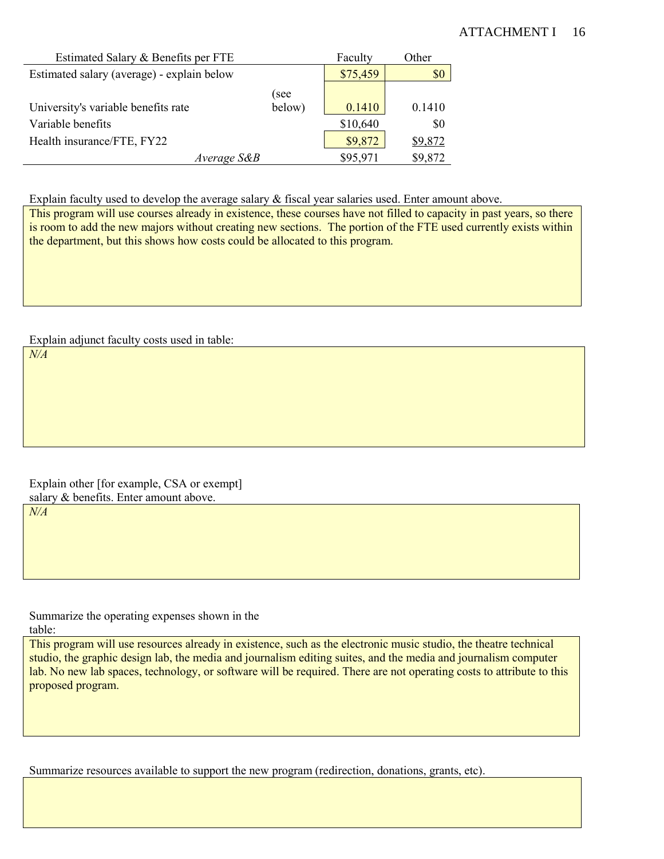### ATTACHMENT I 16

| Estimated Salary & Benefits per FTE        |             | Faculty  | Other   |
|--------------------------------------------|-------------|----------|---------|
| Estimated salary (average) - explain below |             | \$75,459 | \$0     |
|                                            | (see        |          |         |
| University's variable benefits rate        | below)      | 0.1410   | 0.1410  |
| Variable benefits                          |             | \$10,640 | \$0     |
| Health insurance/FTE, FY22                 |             | \$9,872  | \$9,872 |
|                                            | Average S&B | \$95,971 | \$9,872 |

Explain faculty used to develop the average salary & fiscal year salaries used. Enter amount above.

This program will use courses already in existence, these courses have not filled to capacity in past years, so there is room to add the new majors without creating new sections. The portion of the FTE used currently exists within the department, but this shows how costs could be allocated to this program.

Explain adjunct faculty costs used in table:

*N/A*

Explain other [for example, CSA or exempt] salary & benefits. Enter amount above.

*N/A*

Summarize the operating expenses shown in the table:

This program will use resources already in existence, such as the electronic music studio, the theatre technical studio, the graphic design lab, the media and journalism editing suites, and the media and journalism computer lab. No new lab spaces, technology, or software will be required. There are not operating costs to attribute to this proposed program.

Summarize resources available to support the new program (redirection, donations, grants, etc).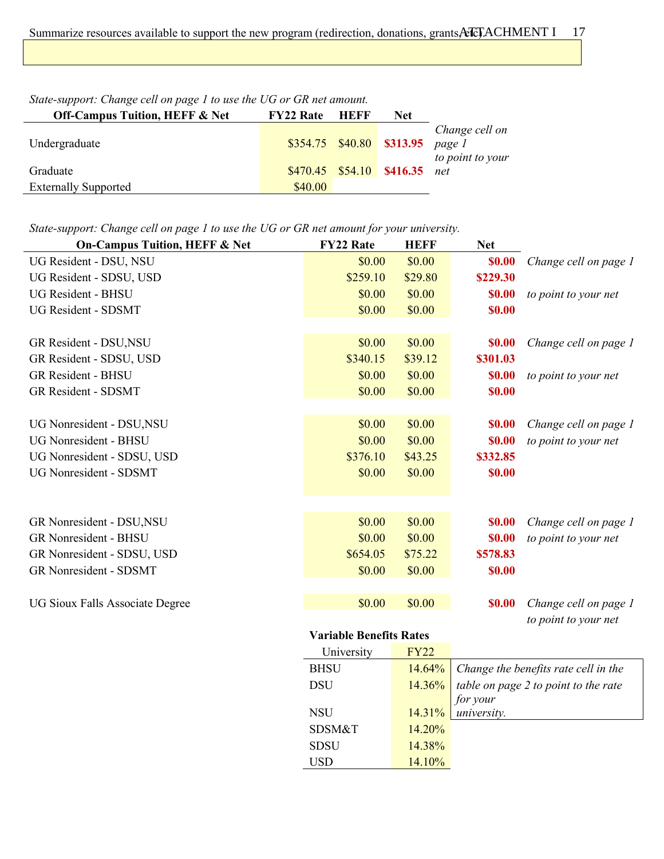| <b>Off-Campus Tuition, HEFF &amp; Net</b> | <b>FY22 Rate HEFF</b> | <b>Net</b>                          |                  |
|-------------------------------------------|-----------------------|-------------------------------------|------------------|
|                                           |                       | $$354.75$ $$40.80$ $$313.95$ page I | Change cell on   |
| Undergraduate                             |                       |                                     | to point to your |
| Graduate                                  |                       | \$470.45 \$54.10 \$416.35 net       |                  |
| <b>Externally Supported</b>               | \$40.00               |                                     |                  |

*State-support: Change cell on page 1 to use the UG or GR net amount.*

Ĭ.

*State-support: Change cell on page 1 to use the UG or GR net amount for your university.*

| <b>On-Campus Tuition, HEFF &amp; Net</b> | <b>FY22 Rate</b>               | <b>HEFF</b> | <b>Net</b> |                       |
|------------------------------------------|--------------------------------|-------------|------------|-----------------------|
| UG Resident - DSU, NSU                   | \$0.00                         | \$0.00      | \$0.00     | Change cell on page 1 |
| UG Resident - SDSU, USD                  | \$259.10                       | \$29.80     | \$229.30   |                       |
| <b>UG Resident - BHSU</b>                | \$0.00                         | \$0.00      | \$0.00     | to point to your net  |
| UG Resident - SDSMT                      | \$0.00                         | \$0.00      | \$0.00     |                       |
|                                          |                                |             |            |                       |
| GR Resident - DSU, NSU                   | \$0.00                         | \$0.00      | \$0.00     | Change cell on page 1 |
| GR Resident - SDSU, USD                  | \$340.15                       | \$39.12     | \$301.03   |                       |
| <b>GR Resident - BHSU</b>                | \$0.00                         | \$0.00      | \$0.00     | to point to your net  |
| <b>GR Resident - SDSMT</b>               | \$0.00                         | \$0.00      | \$0.00     |                       |
|                                          |                                |             |            |                       |
| UG Nonresident - DSU, NSU                | \$0.00                         | \$0.00      | \$0.00     | Change cell on page 1 |
| <b>UG Nonresident - BHSU</b>             | \$0.00                         | \$0.00      | \$0.00     | to point to your net  |
| UG Nonresident - SDSU, USD               | \$376.10                       | \$43.25     | \$332.85   |                       |
| <b>UG Nonresident - SDSMT</b>            | \$0.00                         | \$0.00      | \$0.00     |                       |
|                                          |                                |             |            |                       |
|                                          |                                |             |            |                       |
| GR Nonresident - DSU, NSU                | \$0.00                         | \$0.00      | \$0.00     | Change cell on page 1 |
| <b>GR Nonresident - BHSU</b>             | \$0.00                         | \$0.00      | \$0.00     | to point to your net  |
| GR Nonresident - SDSU, USD               | \$654.05                       | \$75.22     | \$578.83   |                       |
| <b>GR Nonresident - SDSMT</b>            | \$0.00                         | \$0.00      | \$0.00     |                       |
|                                          |                                |             |            |                       |
| UG Sioux Falls Associate Degree          | \$0.00                         | \$0.00      | \$0.00     | Change cell on page 1 |
|                                          |                                |             |            | to point to your net  |
|                                          | <b>Variable Benefits Rates</b> |             |            |                       |
|                                          | University                     | <b>FY22</b> |            |                       |

| University  | <b>FY22</b> |                                      |
|-------------|-------------|--------------------------------------|
| <b>BHSU</b> | $14.64\%$   | Change the benefits rate cell in the |
| <b>DSU</b>  | $14.36\%$   | table on page 2 to point to the rate |
|             |             |                                      |
| <b>NSU</b>  | 14.31%      | for your<br>university.              |
| SDSM&T      | $14.20\%$   |                                      |
| <b>SDSU</b> | 14.38%      |                                      |
| USD         | 14.10%      |                                      |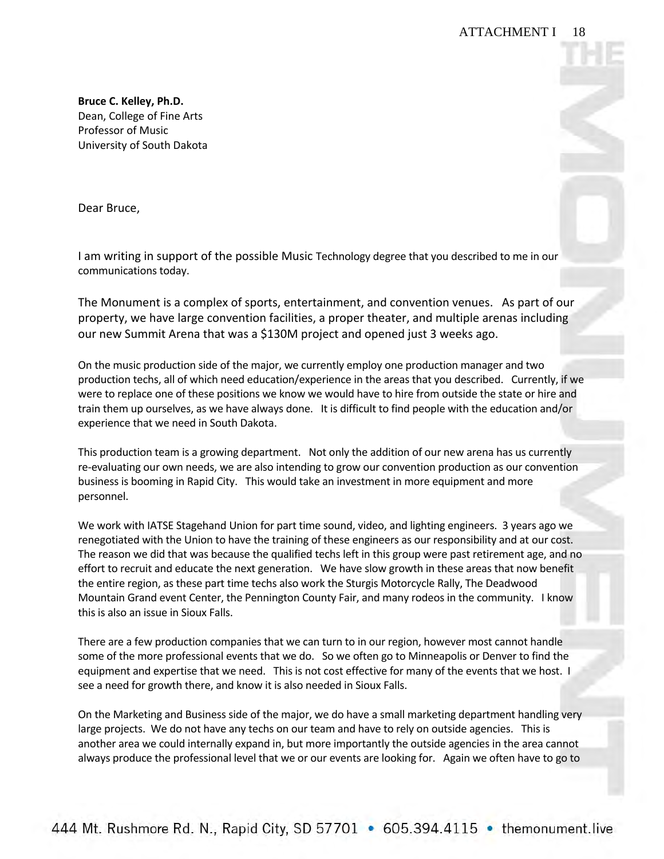Dear Bruce,

 I am writing in support of the possible Music Technology degree that you described to me in our communications today.

 The Monument is a complex of sports, entertainment, and convention venues. As part of our property, we have large convention facilities, a proper theater, and multiple arenas including our new Summit Arena that was a \$130M project and opened just 3 weeks ago.

 On the music production side of the major, we currently employ one production manager and two production techs, all of which need education/experience in the areas that you described. Currently, if we were to replace one of these positions we know we would have to hire from outside the state or hire and train them up ourselves, as we have always done. It is difficult to find people with the education and/or experience that we need in South Dakota.

 This production team is a growing department. Not only the addition of our new arena has us currently re-evaluating our own needs, we are also intending to grow our convention production as our convention business is booming in Rapid City. This would take an investment in more equipment and more personnel.

 We work with IATSE Stagehand Union for part time sound, video, and lighting engineers. 3 years ago we renegotiated with the Union to have the training of these engineers as our responsibility and at our cost. The reason we did that was because the qualified techs left in this group were past retirement age, and no effort to recruit and educate the next generation. We have slow growth in these areas that now benefit the entire region, as these part time techs also work the Sturgis Motorcycle Rally, The Deadwood Mountain Grand event Center, the Pennington County Fair, and many rodeos in the community. I know this is also an issue in Sioux Falls.

this is also an issue in Sioux Falls.<br>There are a few production companies that we can turn to in our region, however most cannot handle some of the more professional events that we do. So we often go to Minneapolis or Denver to find the equipment and expertise that we need. This is not cost effective for many of the events that we host. I see a need for growth there, and know it is also needed in Sioux Falls.

 On the Marketing and Business side of the major, we do have a small marketing department handling very large projects. We do not have any techs on our team and have to rely on outside agencies. This is another area we could internally expand in, but more importantly the outside agencies in the area cannot always produce the professional level that we or our events are looking for. Again we often have to go to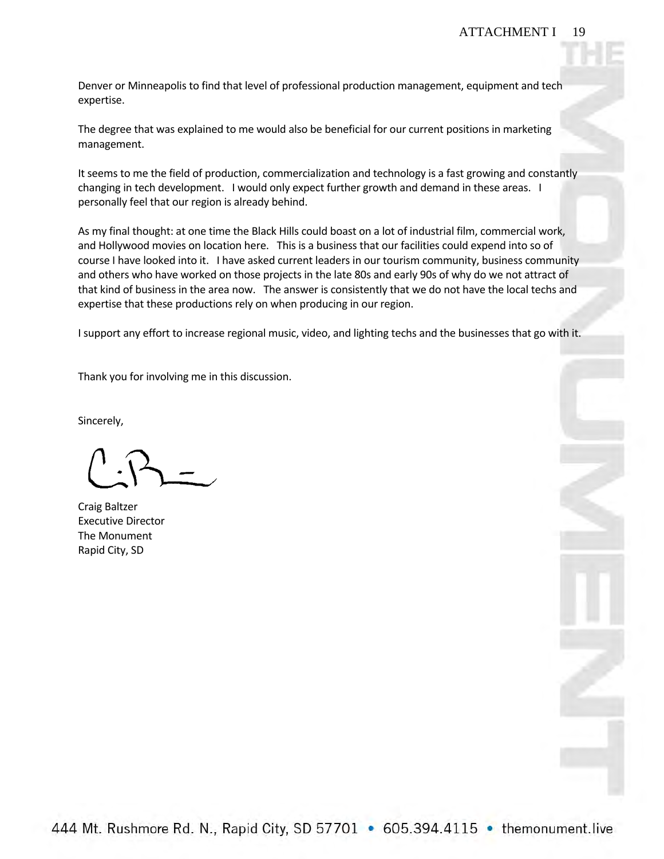Denver or Minneapolis to find that level of professional production management, equipment and tech expertise.

 The degree that was explained to me would also be beneficial for our current positions in marketing management.

It seems to me the field of production, commercialization and technology is a fast growing and constantly changing in tech development. I would only expect further growth and demand in these areas. I personally feel that our region is already behind.

 As my final thought: at one time the Black Hills could boast on a lot of industrial film, commercial work, and Hollywood movies on location here. This is a business that our facilities could expend into so of course I have looked into it. I have asked current leaders in our tourism community, business community and others who have worked on those projects in the late 80s and early 90s of why do we not attract of that kind of business in the area now. The answer is consistently that we do not have the local techs and expertise that these productions rely on when producing in our region.

I support any effort to increase regional music, video, and lighting techs and the businesses that go with it.

Thank you for involving me in this discussion.

Sincerely,

 Rapid City, SD Craig Baltzer Executive Director The Monument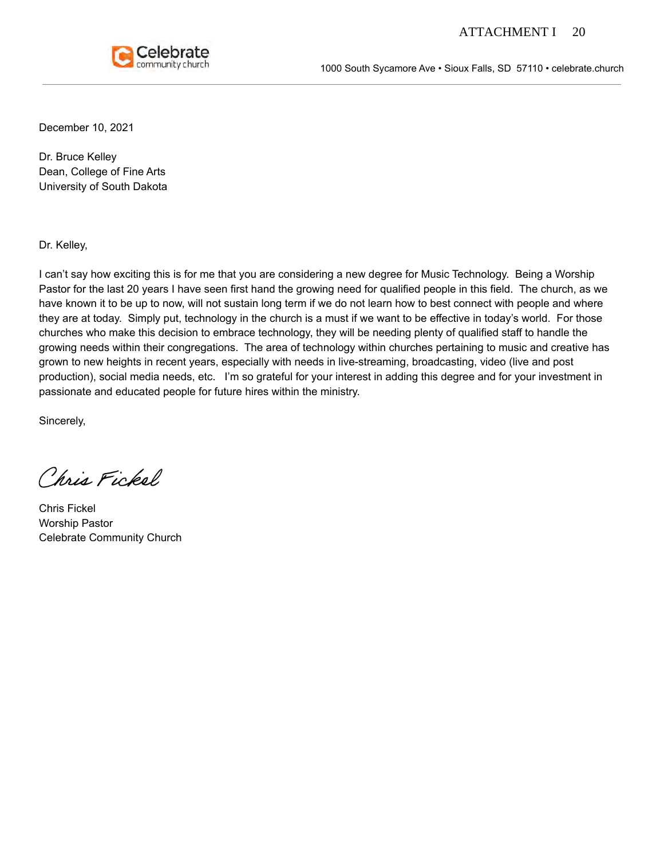

1000 South Sycamore Ave • Sioux Falls, SD 57110 • celebrate.church

December 10, 2021

Dr. Bruce Kelley Dean, College of Fine Arts University of South Dakota

Dr. Kelley,

I can't say how exciting this is for me that you are considering a new degree for Music Technology. Being a Worship Pastor for the last 20 years I have seen first hand the growing need for qualified people in this field. The church, as we have known it to be up to now, will not sustain long term if we do not learn how to best connect with people and where they are at today. Simply put, technology in the church is a must if we want to be effective in today's world. For those churches who make this decision to embrace technology, they will be needing plenty of qualified staff to handle the growing needs within their congregations. The area of technology within churches pertaining to music and creative has grown to new heights in recent years, especially with needs in live-streaming, broadcasting, video (live and post production), social media needs, etc. I'm so grateful for your interest in adding this degree and for your investment in passionate and educated people for future hires within the ministry.

Sincerely,

Chris Fickel

Chris Fickel Worship Pastor Celebrate Community Church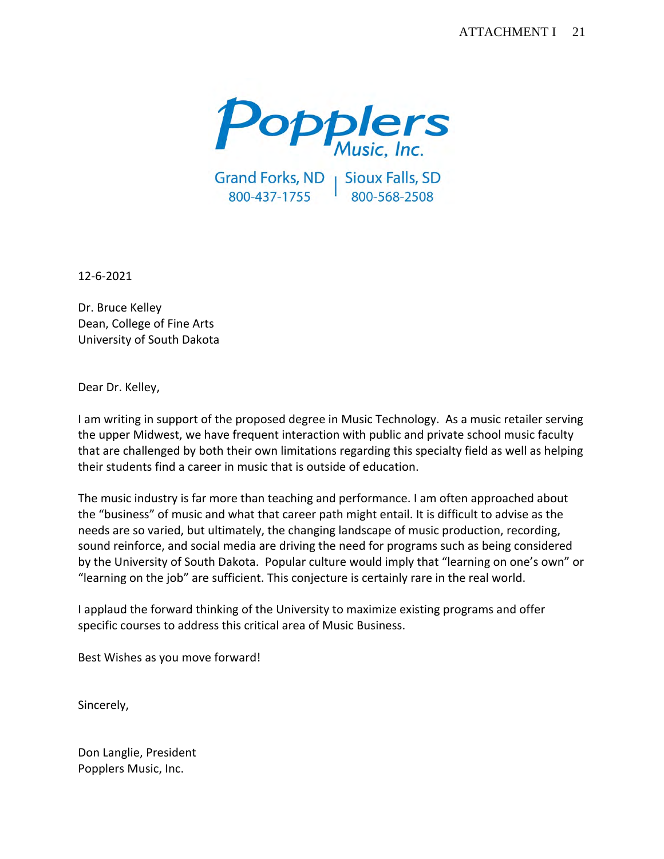

Grand Forks, ND | Sioux Falls, SD<br>800-437-1755 | 800-568-2508

12-6-2021

 Dean, College of Fine Arts University of South Dakota Dr. Bruce Kelley

Dear Dr. Kelley,

 I am writing in support of the proposed degree in Music Technology. As a music retailer serving the upper Midwest, we have frequent interaction with public and private school music faculty that are challenged by both their own limitations regarding this specialty field as well as helping their students find a career in music that is outside of education.

 The music industry is far more than teaching and performance. I am often approached about the "business" of music and what that career path might entail. It is difficult to advise as the needs are so varied, but ultimately, the changing landscape of music production, recording, sound reinforce, and social media are driving the need for programs such as being considered by the University of South Dakota. Popular culture would imply that "learning on one's own" or "learning on the job" are sufficient. This conjecture is certainly rare in the real world.

 I applaud the forward thinking of the University to maximize existing programs and offer specific courses to address this critical area of Music Business.

Best Wishes as you move forward!

Sincerely,

 Don Langlie, President Popplers Music, Inc.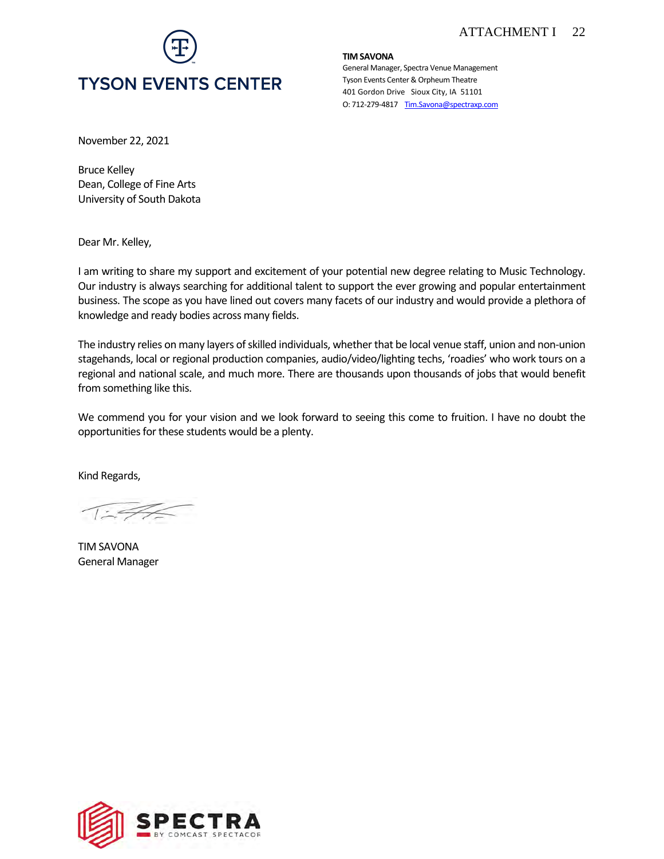

**TIM SAVONA** 

 Tyson Events Center & Orpheum Theatre 401 Gordon Drive Sioux City, IA 51101 O: 712-279-4817 Tim.Savona@spectraxp.com General Manager, Spectra Venue Management

November 22, 2021

 Dean, College of Fine Arts University of South Dakota Bruce Kelley

Dear Mr. Kelley,

 I am writing to share my support and excitement of your potential new degree relating to Music Technology. Our industry is always searching for additional talent to support the ever growing and popular entertainment business. The scope as you have lined out covers many facets of our industry and would provide a plethora of knowledge and ready bodies across many fields.

knowledge and ready bodies across many fields.<br>The industry relies on many layers of skilled individuals, whether that be local venue staff, union and non-union stagehands, local or regional production companies, audio/video/lighting techs, 'roadies' who work tours on a regional and national scale, and much more. There are thousands upon thousands of jobs that would benefit from something like this.

 We commend you for your vision and we look forward to seeing this come to fruition. I have no doubt the opportunities for these students would be a plenty.

Kind Regards,

TIM SAVONA General Manager

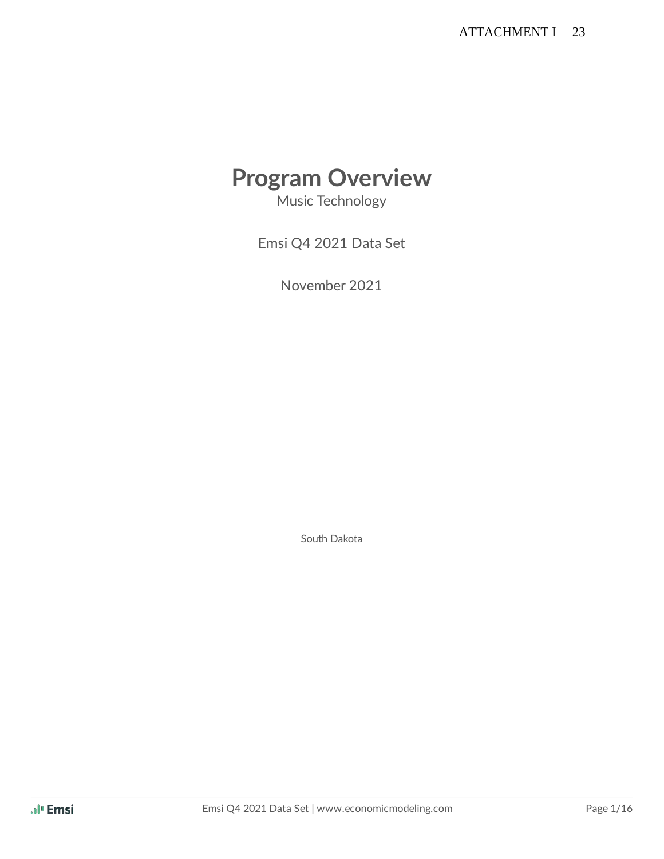# **Program Overview**

Music Technology

Emsi Q4 2021 Data Set

November 2021

South Dakota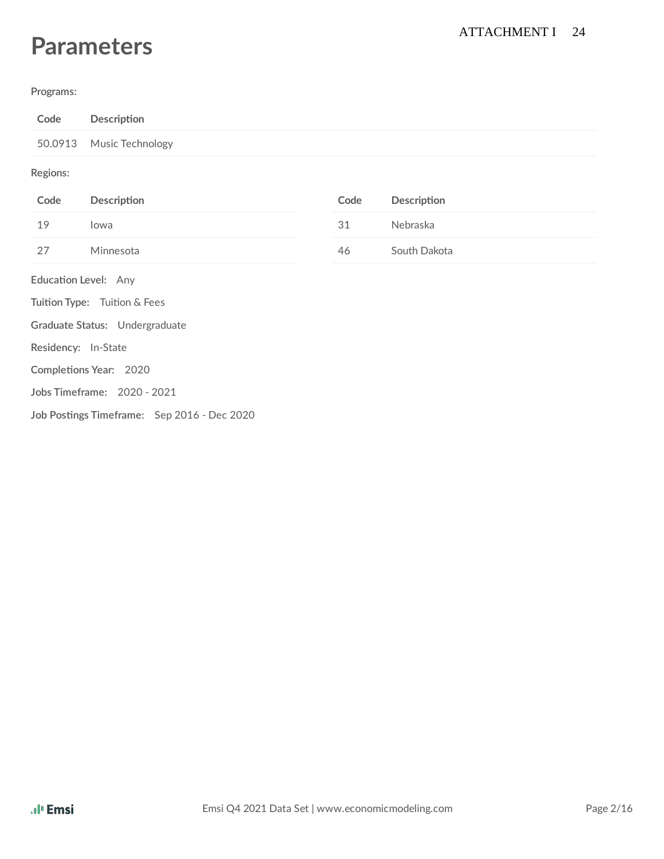# **Parameters**

#### **Programs:**

| Code                 | Description                                 |      |              |
|----------------------|---------------------------------------------|------|--------------|
| 50.0913              | Music Technology                            |      |              |
| Regions:             |                                             |      |              |
| Code                 | Description                                 | Code | Description  |
| 19                   | lowa                                        | 31   | Nebraska     |
| 27                   | Minnesota                                   | 46   | South Dakota |
| Education Level: Any |                                             |      |              |
|                      | Tuition Type: Tuition & Fees                |      |              |
|                      | Graduate Status: Undergraduate              |      |              |
| Residency: In-State  |                                             |      |              |
|                      | Completions Year: 2020                      |      |              |
|                      | Jobs Timeframe: 2020 - 2021                 |      |              |
|                      | Job Postings Timeframe: Sep 2016 - Dec 2020 |      |              |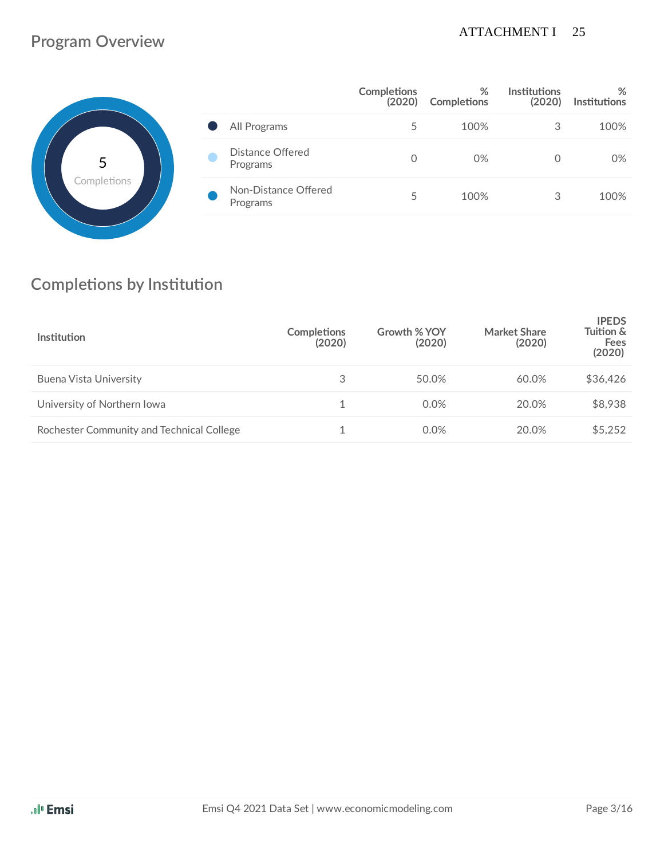### ATTACHMENT I 25

# **Program Overview**



|                                  | <b>Completions</b><br>(2020) | %<br><b>Completions</b> | <b>Institutions</b><br>(2020) | %<br><b>Institutions</b> |
|----------------------------------|------------------------------|-------------------------|-------------------------------|--------------------------|
| All Programs                     | 5                            | 100%                    | 3                             | 100%                     |
| Distance Offered<br>Programs     | $\Omega$                     | 0%                      |                               | 0%                       |
| Non-Distance Offered<br>Programs | 5                            | 100%                    | 3                             | 100%                     |

# **Completions** by Institution

| <b>Institution</b>                        | <b>Completions</b><br>(2020) | Growth % YOY<br>(2020) | <b>Market Share</b><br>(2020) | <b>IPEDS</b><br>Tuition &<br>Fees<br>(2020) |
|-------------------------------------------|------------------------------|------------------------|-------------------------------|---------------------------------------------|
| Buena Vista University                    | 3                            | 50.0%                  | 60.0%                         | \$36,426                                    |
| University of Northern Iowa               |                              | 0.0%                   | 20.0%                         | \$8,938                                     |
| Rochester Community and Technical College |                              | 0.0%                   | 20.0%                         | \$5,252                                     |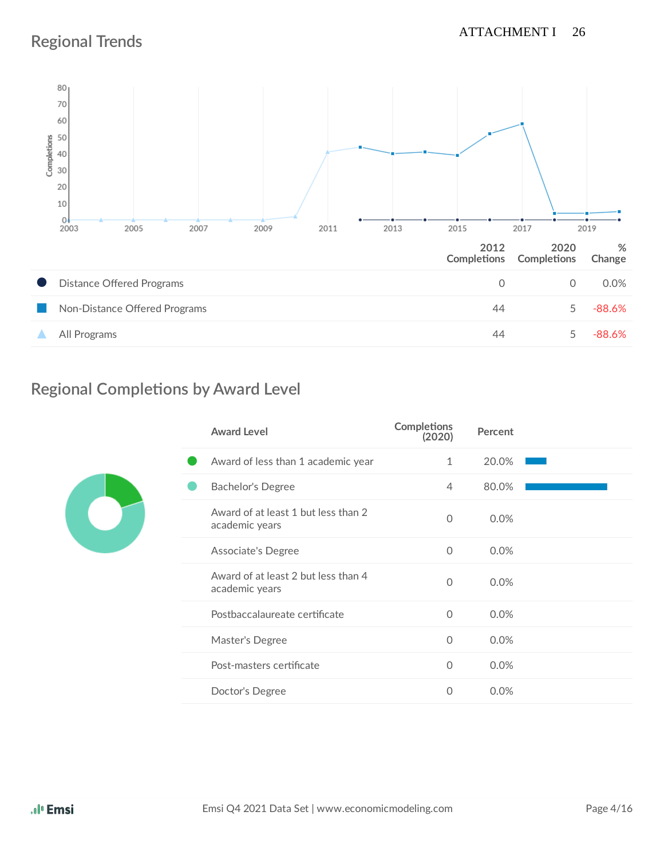# **Regional Trends**



# **Regional Completions by Award Level**

| <b>Award Level</b>                                    | <b>Completions</b><br>(2020) | Percent |  |
|-------------------------------------------------------|------------------------------|---------|--|
| Award of less than 1 academic year                    | 1                            | 20.0%   |  |
| <b>Bachelor's Degree</b>                              | $\overline{4}$               | 80.0%   |  |
| Award of at least 1 but less than 2<br>academic years | $\Omega$                     | 0.0%    |  |
| <b>Associate's Degree</b>                             | $\circ$                      | 0.0%    |  |
| Award of at least 2 but less than 4<br>academic years | $\mathbf{0}$                 | 0.0%    |  |
| Postbaccalaureate certificate                         | $\mathbf{0}$                 | 0.0%    |  |
| Master's Degree                                       | $\circ$                      | 0.0%    |  |
| Post-masters certificate                              | $\mathbf 0$                  | 0.0%    |  |
| Doctor's Degree                                       | 0                            | 0.0%    |  |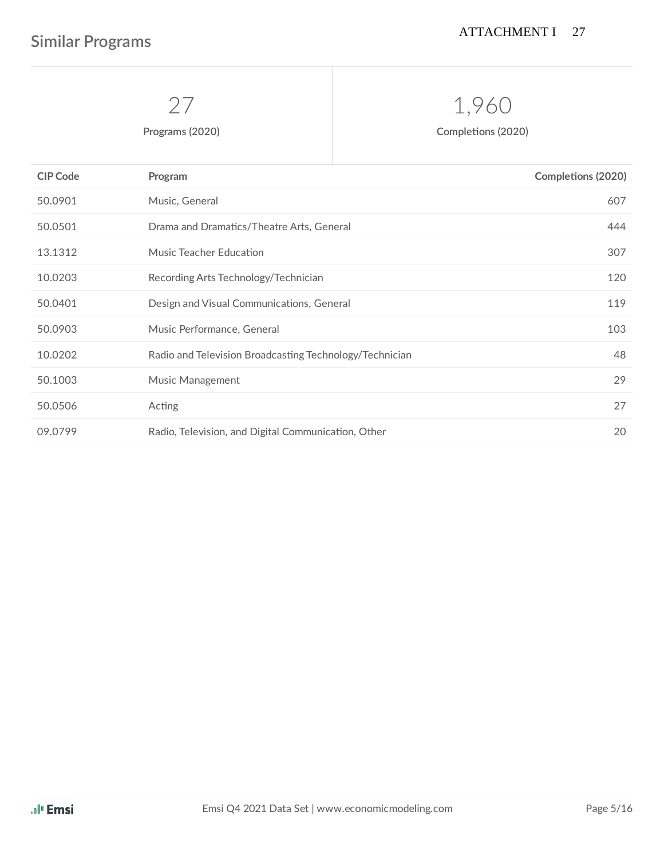# 1,960

**Programs** (2020) **Completions** (2020)

| <b>CIP Code</b> | Program                                                 | <b>Completions (2020)</b> |
|-----------------|---------------------------------------------------------|---------------------------|
| 50.0901         | Music, General                                          | 607                       |
| 50.0501         | Drama and Dramatics/Theatre Arts, General               | 444                       |
| 13.1312         | Music Teacher Education                                 | 307                       |
| 10.0203         | Recording Arts Technology/Technician                    | 120                       |
| 50.0401         | Design and Visual Communications, General               | 119                       |
| 50.0903         | Music Performance, General                              | 103                       |
| 10.0202         | Radio and Television Broadcasting Technology/Technician | 48                        |
| 50.1003         | Music Management                                        | 29                        |
| 50.0506         | Acting                                                  | 27                        |
| 09.0799         | Radio, Television, and Digital Communication, Other     | 20                        |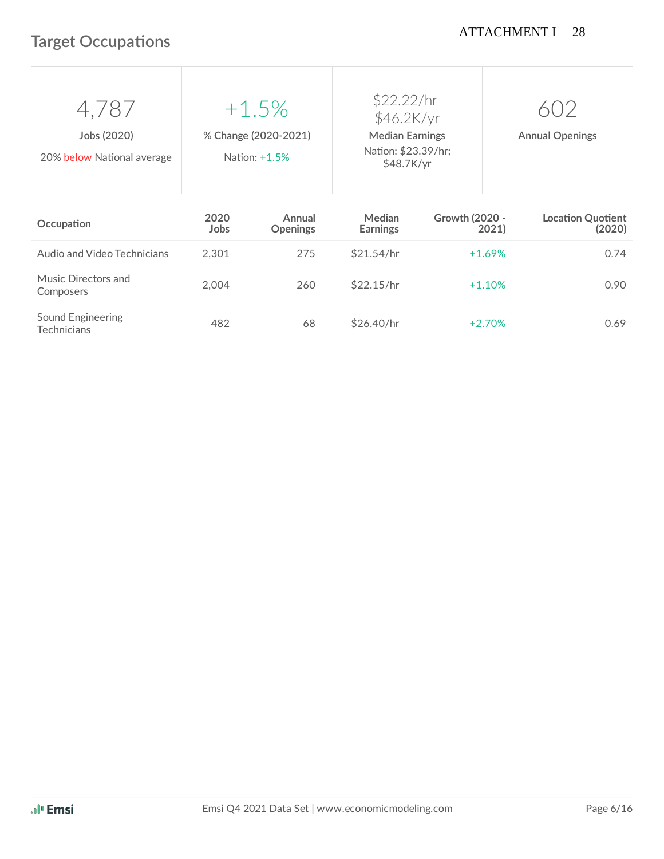# **Target Occupations**

| Jobs (2020)<br>20% below National average | $+1.5%$<br>% Change (2020-2021)<br>Nation: +1.5% |                           | \$22.22/hr<br>\$46.2K/yr<br><b>Median Earnings</b><br>Nation: \$23.39/hr;<br>\$48.7K/yr |                         | <b>Annual Openings</b>             |  |
|-------------------------------------------|--------------------------------------------------|---------------------------|-----------------------------------------------------------------------------------------|-------------------------|------------------------------------|--|
|                                           |                                                  |                           |                                                                                         |                         |                                    |  |
| Occupation                                | 2020<br>Jobs                                     | Annual<br><b>Openings</b> | <b>Median</b><br><b>Earnings</b>                                                        | Growth (2020 -<br>2021) | <b>Location Quotient</b><br>(2020) |  |
| Audio and Video Technicians               | 2,301                                            | 275                       | \$21.54/hr                                                                              | $+1.69%$                | 0.74                               |  |
| Music Directors and<br>Composers          | 2,004                                            | 260                       | \$22.15/hr                                                                              | $+1.10%$                | 0.90                               |  |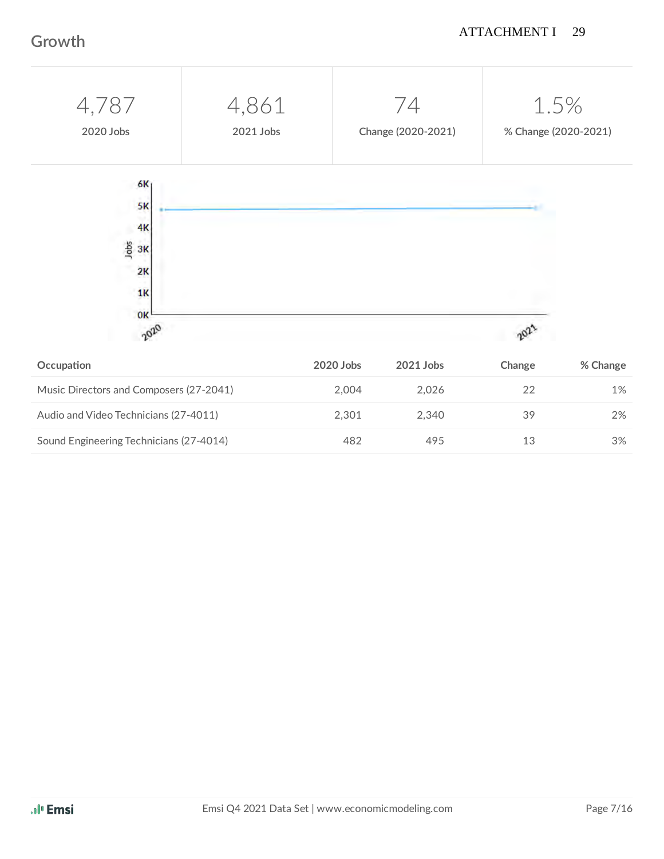### ATTACHMENT I 29

### **Growth**

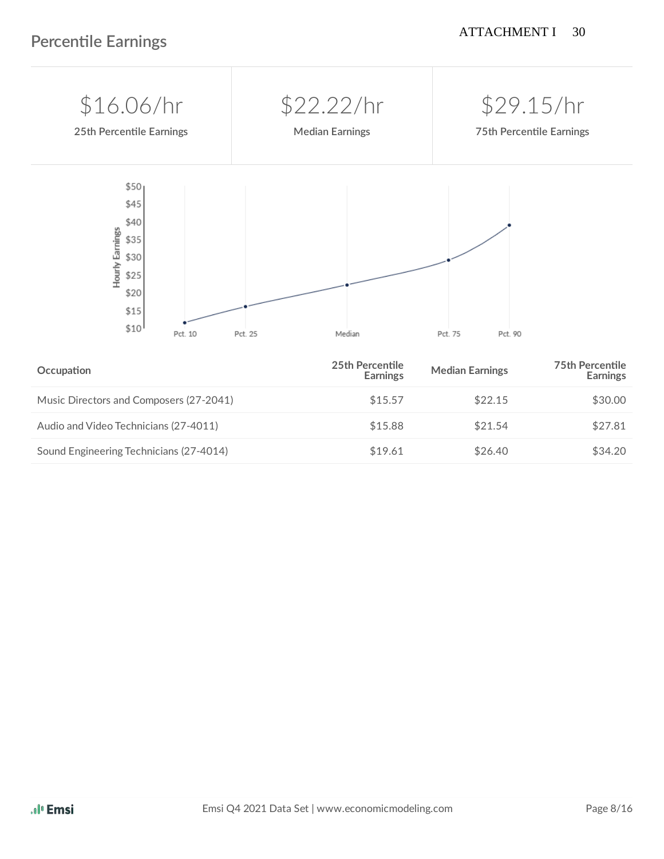

| Sound Engineering Technicians (27-4014) | \$19.61 | \$26.40 | \$34.20 |
|-----------------------------------------|---------|---------|---------|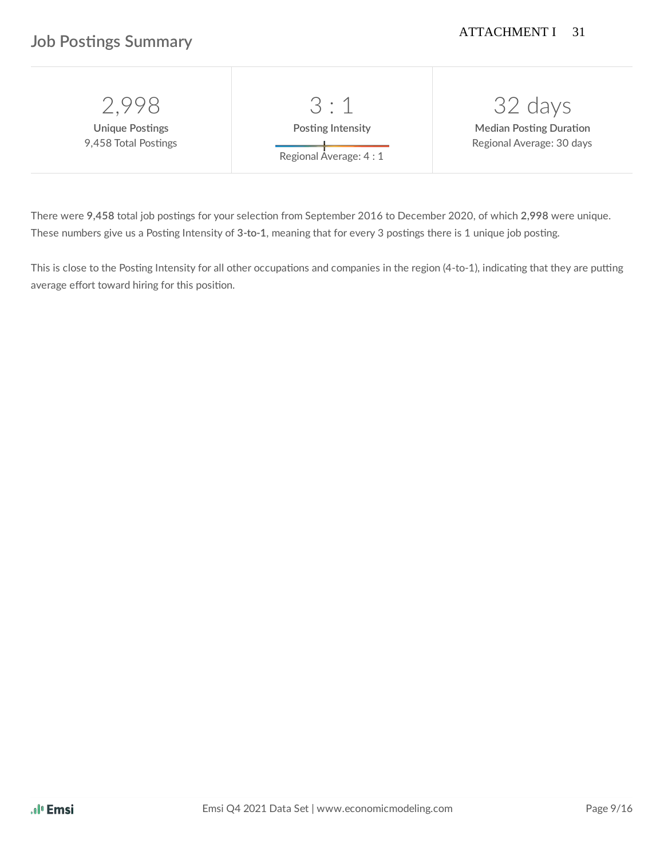### **Job Postings Summary**

| 1998-                                          | 3 : 1                                      | 32 days                                                     |
|------------------------------------------------|--------------------------------------------|-------------------------------------------------------------|
| <b>Unique Postings</b><br>9,458 Total Postings | Posting Intensity<br>Regional Average: 4:1 | <b>Median Posting Duration</b><br>Regional Average: 30 days |

There were 9,458 total job postings for your selection from September 2016 to December 2020, of which 2,998 were unique. These numbers give us a Posting Intensity of 3-to-1, meaning that for every 3 postings there is 1 unique job posting.

This is close to the Posting Intensity for all other occupations and companies in the region (4-to-1), indicating that they are putting average effort toward hiring for this position.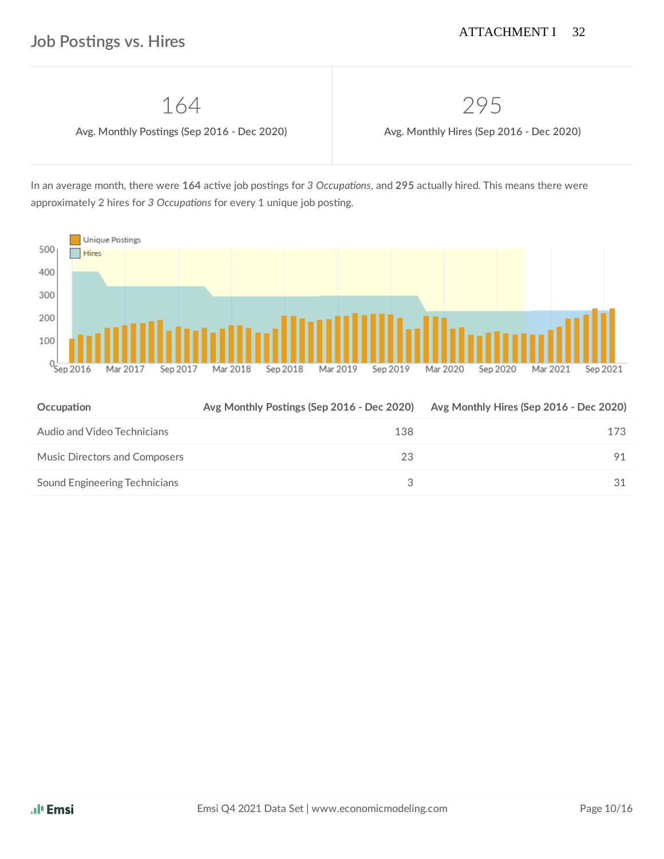164 295

 **Avg. Monthly Posngs (Sep 2016 - Dec 2020) Avg. Monthly Hires (Sep 2016 - Dec 2020)**

In an average month, there were 164 active job postings for 3 Occupations, and 295 actually hired. This means there were approximately 2 hires for 3 Occupations for every 1 unique job posting.



| Occupation                    | Avg Monthly Postings (Sep 2016 - Dec 2020) | Avg Monthly Hires (Sep 2016 - Dec 2020) |
|-------------------------------|--------------------------------------------|-----------------------------------------|
| Audio and Video Technicians   | 138                                        | 173                                     |
| Music Directors and Composers | 23                                         | 91                                      |
| Sound Engineering Technicians |                                            | 31                                      |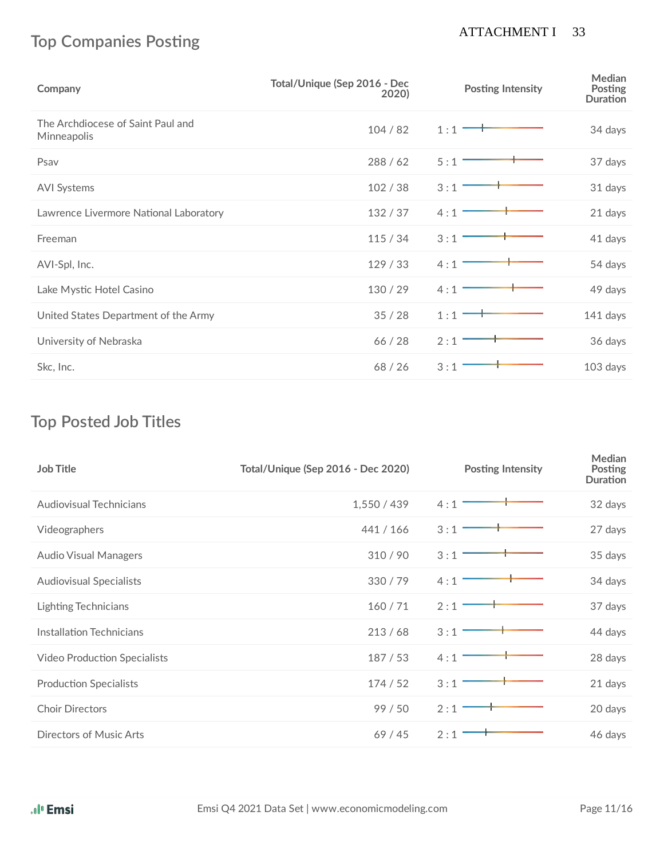## **Top Companies Posting**

### ATTACHMENT I 33

| Company                                          | Total/Unique (Sep 2016 - Dec<br>2020) | <b>Posting Intensity</b> | <b>Median</b><br>Posting<br><b>Duration</b> |
|--------------------------------------------------|---------------------------------------|--------------------------|---------------------------------------------|
| The Archdiocese of Saint Paul and<br>Minneapolis | 104/82                                | 1:1                      | 34 days                                     |
| Psav                                             | 288/62                                | 5:1                      | 37 days                                     |
| <b>AVI Systems</b>                               | 102/38                                | 3:1                      | 31 days                                     |
| Lawrence Livermore National Laboratory           | 132/37                                | 4:1                      | 21 days                                     |
| Freeman                                          | 115/34                                | 3:1                      | 41 days                                     |
| AVI-Spl, Inc.                                    | 129/33                                | 4:1                      | 54 days                                     |
| Lake Mystic Hotel Casino                         | 130/29                                | 4:1                      | 49 days                                     |
| United States Department of the Army             | 35/28                                 | 1:1                      | 141 days                                    |
| University of Nebraska                           | 66 / 28                               | 2:1                      | 36 days                                     |
| Skc, Inc.                                        | 68/26                                 | 3:1                      | 103 days                                    |

### **Top Posted Job Titles**

| <b>Job Title</b>                    | <b>Total/Unique (Sep 2016 - Dec 2020)</b> | <b>Posting Intensity</b> | Median<br><b>Posting</b><br><b>Duration</b> |
|-------------------------------------|-------------------------------------------|--------------------------|---------------------------------------------|
| <b>Audiovisual Technicians</b>      | 1,550 / 439                               | 4:1                      | 32 days                                     |
| Videographers                       | 441 / 166                                 | 3:1                      | 27 days                                     |
| <b>Audio Visual Managers</b>        | 310/90                                    | 3:1                      | 35 days                                     |
| <b>Audiovisual Specialists</b>      | 330/79                                    | 4:1                      | 34 days                                     |
| <b>Lighting Technicians</b>         | 160/71                                    | 2:1                      | 37 days                                     |
| Installation Technicians            | 213/68                                    | 3:1                      | 44 days                                     |
| <b>Video Production Specialists</b> | 187/53                                    | 4:1                      | 28 days                                     |
| <b>Production Specialists</b>       | 174/52                                    | 3:1                      | 21 days                                     |
| <b>Choir Directors</b>              | 99/50                                     | 2:1                      | 20 days                                     |
| Directors of Music Arts             | 69/45                                     | 2:1                      | 46 days                                     |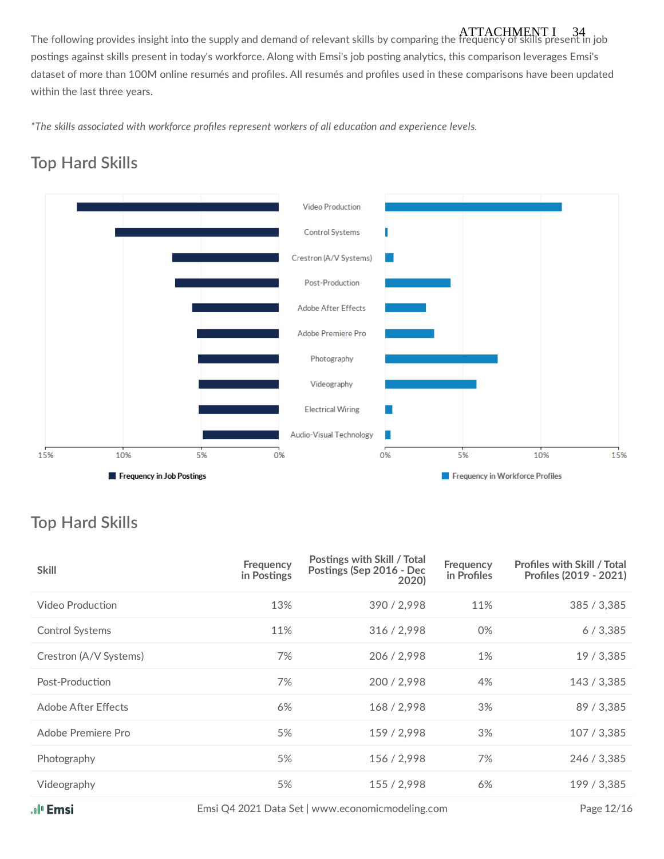The following provides insight into the supply and demand of relevant skills by comparing the frequency of skills present in job ATTACHMENT I 34postings against skills present in today's workforce. Along with Emsi's job posting analytics, this comparison leverages Emsi's dataset of more than 100M online resumés and profiles. All resumés and profiles used in these comparisons have been updated within the last three years.

 *\*The skills associated with workforce profiles represent workers of all educaon and experience levels.*

# **Top Hard Skills**



# **Top Hard Skills**

| <b>Skill</b>           | <b>Frequency</b><br>in Postings | Postings with Skill / Total<br>Postings (Sep 2016 - Dec<br>2020) | <b>Frequency</b><br>in Profiles | <b>Profiles with Skill / Total</b><br>Profiles (2019 - 2021) |
|------------------------|---------------------------------|------------------------------------------------------------------|---------------------------------|--------------------------------------------------------------|
| Video Production       | 13%                             | 390 / 2,998                                                      | 11%                             | 385 / 3,385                                                  |
| Control Systems        | 11%                             | 316 / 2,998                                                      | 0%                              | 6/3,385                                                      |
| Crestron (A/V Systems) | 7%                              | 206 / 2,998                                                      | 1%                              | 19 / 3,385                                                   |
| Post-Production        | 7%                              | 200 / 2.998                                                      | 4%                              | 143 / 3,385                                                  |
| Adobe After Effects    | 6%                              | 168 / 2,998                                                      | 3%                              | 89 / 3,385                                                   |
| Adobe Premiere Pro     | 5%                              | 159 / 2,998                                                      | 3%                              | 107 / 3,385                                                  |
| Photography            | 5%                              | 156 / 2,998                                                      | 7%                              | 246 / 3,385                                                  |
| Videography            | 5%                              | 155/2,998                                                        | 6%                              | 199 / 3,385                                                  |
|                        |                                 |                                                                  |                                 |                                                              |

Emsi Q4 2021 Data Set | www.economicmodeling.com Page 12/16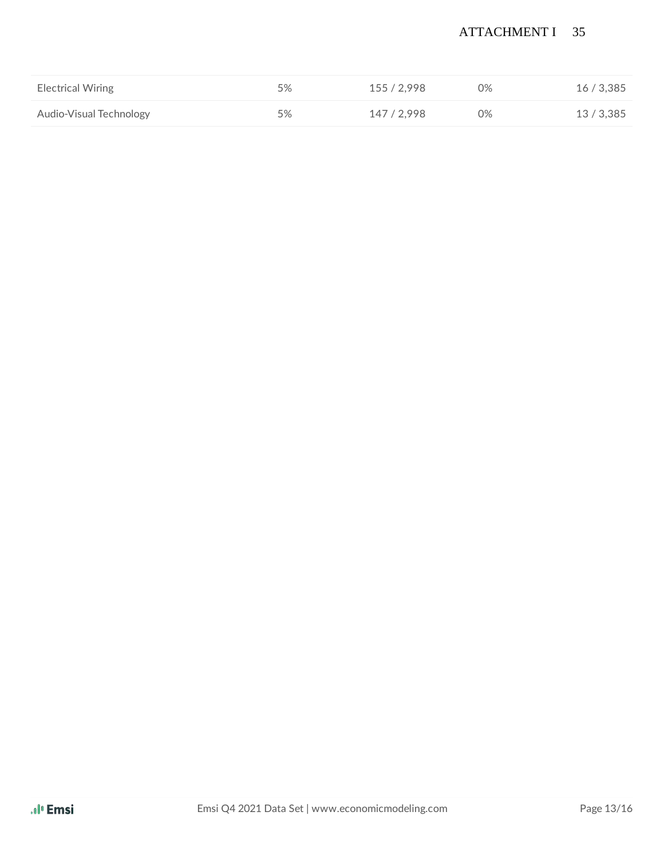### ATTACHMENT I 35

| <b>Electrical Wiring</b> | 5% | 155 / 2.998 | 0% | 16/3,385   |
|--------------------------|----|-------------|----|------------|
| Audio-Visual Technology  | 5% | 147 / 2.998 | 0% | 13 / 3,385 |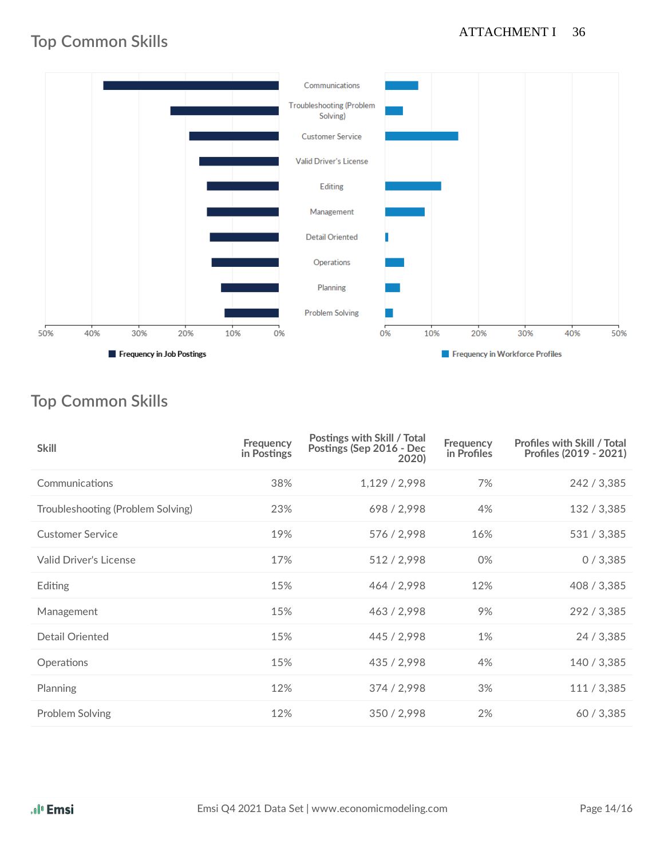### ATTACHMENT I 36

### **Top Common Skills**



# **Top Common Skills**

| <b>Skill</b>                      | Frequency<br>in Postings | Postings with Skill / Total<br>Postings (Sep 2016 - Dec<br>2020) | Frequency<br>in Profiles | <b>Profiles with Skill / Total</b><br>Profiles (2019 - 2021) |
|-----------------------------------|--------------------------|------------------------------------------------------------------|--------------------------|--------------------------------------------------------------|
| Communications                    | 38%                      | 1,129/2,998                                                      | 7%                       | 242 / 3,385                                                  |
| Troubleshooting (Problem Solving) | 23%                      | 698 / 2,998                                                      | 4%                       | 132 / 3,385                                                  |
| <b>Customer Service</b>           | 19%                      | 576 / 2,998                                                      | 16%                      | 531 / 3,385                                                  |
| <b>Valid Driver's License</b>     | 17%                      | 512 / 2,998                                                      | 0%                       | 0/3,385                                                      |
| Editing                           | 15%                      | 464 / 2,998                                                      | 12%                      | 408 / 3,385                                                  |
| Management                        | 15%                      | 463 / 2,998                                                      | 9%                       | 292 / 3,385                                                  |
| Detail Oriented                   | 15%                      | 445 / 2,998                                                      | 1%                       | 24 / 3,385                                                   |
| Operations                        | 15%                      | 435 / 2,998                                                      | 4%                       | 140 / 3,385                                                  |
| Planning                          | 12%                      | 374 / 2,998                                                      | 3%                       | 111 / 3,385                                                  |
| Problem Solving                   | 12%                      | 350 / 2,998                                                      | 2%                       | 60/3,385                                                     |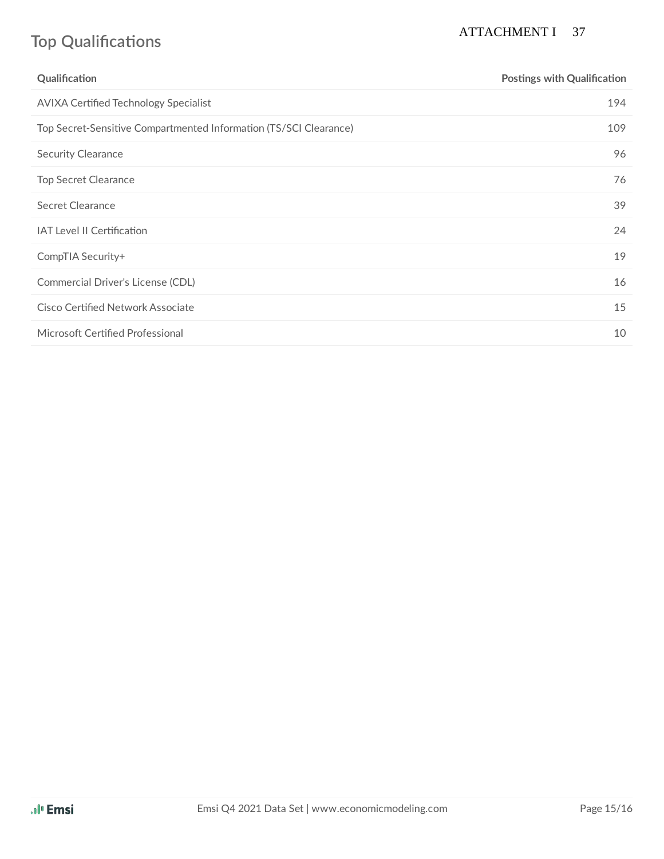# **Top Qualifications**

### ATTACHMENT I 37

| Qualification                                                     | <b>Postings with Qualification</b> |
|-------------------------------------------------------------------|------------------------------------|
| <b>AVIXA Certified Technology Specialist</b>                      | 194                                |
| Top Secret-Sensitive Compartmented Information (TS/SCI Clearance) | 109                                |
| <b>Security Clearance</b>                                         | 96                                 |
| <b>Top Secret Clearance</b>                                       | 76                                 |
| Secret Clearance                                                  | 39                                 |
| <b>IAT Level II Certification</b>                                 | 24                                 |
| CompTIA Security+                                                 | 19                                 |
| Commercial Driver's License (CDL)                                 | 16                                 |
| Cisco Certified Network Associate                                 | 15                                 |
| Microsoft Certified Professional                                  | 10                                 |